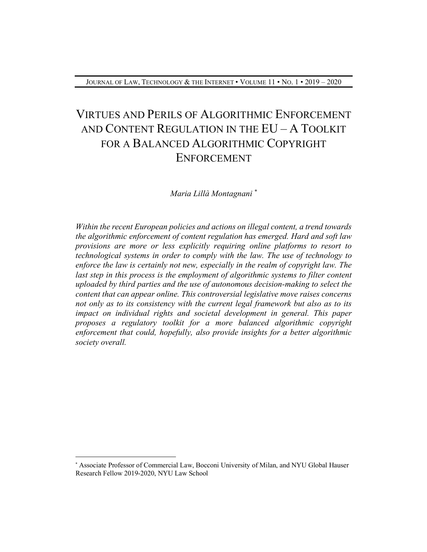# VIRTUES AND PERILS OF ALGORITHMIC ENFORCEMENT AND CONTENT REGULATION IN THE EU – A TOOLKIT FOR A BALANCED ALGORITHMIC COPYRIGHT ENFORCEMENT

*Maria Lillà Montagnani \**

*Within the recent European policies and actions on illegal content, a trend towards the algorithmic enforcement of content regulation has emerged. Hard and soft law provisions are more or less explicitly requiring online platforms to resort to technological systems in order to comply with the law. The use of technology to enforce the law is certainly not new, especially in the realm of copyright law. The last step in this process is the employment of algorithmic systems to filter content uploaded by third parties and the use of autonomous decision-making to select the content that can appear online. This controversial legislative move raises concerns not only as to its consistency with the current legal framework but also as to its impact on individual rights and societal development in general. This paper proposes a regulatory toolkit for a more balanced algorithmic copyright enforcement that could, hopefully, also provide insights for a better algorithmic society overall.*

 $\overline{a}$ 

<sup>\*</sup> Associate Professor of Commercial Law, Bocconi University of Milan, and NYU Global Hauser Research Fellow 2019-2020, NYU Law School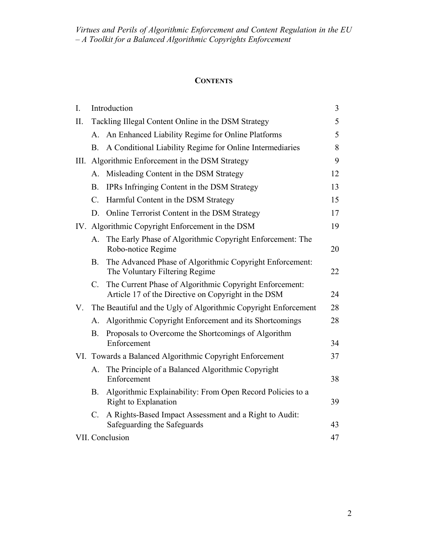# **CONTENTS**

| I.  | Introduction                                                    |                                                                                                                | $\overline{3}$ |
|-----|-----------------------------------------------------------------|----------------------------------------------------------------------------------------------------------------|----------------|
| II. | Tackling Illegal Content Online in the DSM Strategy             |                                                                                                                | 5              |
|     |                                                                 | A. An Enhanced Liability Regime for Online Platforms                                                           | 5              |
|     | В.                                                              | A Conditional Liability Regime for Online Intermediaries                                                       | 8              |
|     | III. Algorithmic Enforcement in the DSM Strategy                |                                                                                                                | 9              |
|     | А.                                                              | Misleading Content in the DSM Strategy                                                                         | 12             |
|     | <b>B.</b>                                                       | IPRs Infringing Content in the DSM Strategy                                                                    | 13             |
|     | $C_{\cdot}$                                                     | Harmful Content in the DSM Strategy                                                                            | 15             |
|     | D.                                                              | Online Terrorist Content in the DSM Strategy                                                                   | 17             |
|     | IV. Algorithmic Copyright Enforcement in the DSM                |                                                                                                                | 19             |
|     | А.                                                              | The Early Phase of Algorithmic Copyright Enforcement: The<br>Robo-notice Regime                                | 20             |
|     | <b>B.</b>                                                       | The Advanced Phase of Algorithmic Copyright Enforcement:<br>The Voluntary Filtering Regime                     | 22             |
|     | C.                                                              | The Current Phase of Algorithmic Copyright Enforcement:<br>Article 17 of the Directive on Copyright in the DSM | 24             |
| V.  | The Beautiful and the Ugly of Algorithmic Copyright Enforcement |                                                                                                                | 28             |
|     | А.                                                              | Algorithmic Copyright Enforcement and its Shortcomings                                                         | 28             |
|     | <b>B.</b>                                                       | Proposals to Overcome the Shortcomings of Algorithm<br>Enforcement                                             | 34             |
|     | VI. Towards a Balanced Algorithmic Copyright Enforcement        |                                                                                                                | 37             |
|     | A.                                                              | The Principle of a Balanced Algorithmic Copyright<br>Enforcement                                               | 38             |
|     | <b>B.</b>                                                       | Algorithmic Explainability: From Open Record Policies to a<br>Right to Explanation                             | 39             |
|     | $C_{\cdot}$                                                     | A Rights-Based Impact Assessment and a Right to Audit:<br>Safeguarding the Safeguards                          | 43             |
|     | VII. Conclusion                                                 |                                                                                                                |                |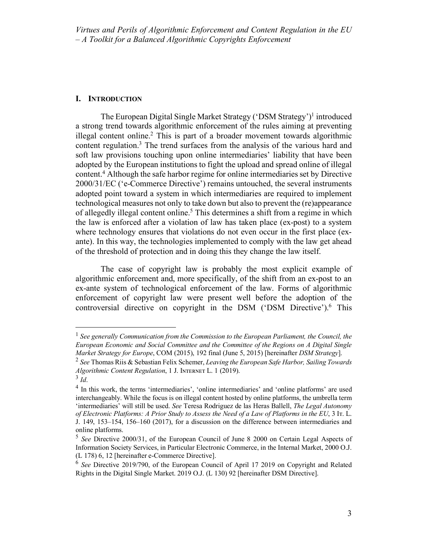#### **I. INTRODUCTION**

The European Digital Single Market Strategy ('DSM Strategy')1 introduced a strong trend towards algorithmic enforcement of the rules aiming at preventing illegal content online.2 This is part of a broader movement towards algorithmic content regulation.<sup>3</sup> The trend surfaces from the analysis of the various hard and soft law provisions touching upon online intermediaries' liability that have been adopted by the European institutions to fight the upload and spread online of illegal content.4 Although the safe harbor regime for online intermediaries set by Directive 2000/31/EC ('e-Commerce Directive') remains untouched, the several instruments adopted point toward a system in which intermediaries are required to implement technological measures not only to take down but also to prevent the (re)appearance of allegedly illegal content online.<sup>5</sup> This determines a shift from a regime in which the law is enforced after a violation of law has taken place (ex-post) to a system where technology ensures that violations do not even occur in the first place (exante). In this way, the technologies implemented to comply with the law get ahead of the threshold of protection and in doing this they change the law itself.

The case of copyright law is probably the most explicit example of algorithmic enforcement and, more specifically, of the shift from an ex-post to an ex-ante system of technological enforcement of the law. Forms of algorithmic enforcement of copyright law were present well before the adoption of the controversial directive on copyright in the DSM ('DSM Directive').<sup>6</sup> This

 <sup>1</sup> *See generally Communication from the Commission to the European Parliament, the Council, the European Economic and Social Committee and the Committee of the Regions on A Digital Single Market Strategy for Europe*, COM (2015), 192 final (June 5, 2015) [hereinafter *DSM Strategy*].

<sup>2</sup> *See* Thomas Riis & Sebastian Felix Schemer, *Leaving the European Safe Harbor, Sailing Towards Algorithmic Content Regulation*, 1 J. INTERNET L. 1 (2019).

 $3$  *Id.* 

<sup>4</sup> In this work, the terms 'intermediaries', 'online intermediaries' and 'online platforms' are used interchangeably. While the focus is on illegal content hosted by online platforms, the umbrella term 'intermediaries' will still be used. *See* Teresa Rodriguez de las Heras Ballell, *The Legal Autonomy of Electronic Platforms: A Prior Study to Assess the Need of a Law of Platforms in the EU*, 3 Iᴛ. L. J. 149, 153–154, 156–160 (2017), for a discussion on the difference between intermediaries and online platforms.

<sup>5</sup> *See* Directive 2000/31, of the European Council of June 8 2000 on Certain Legal Aspects of Information Society Services, in Particular Electronic Commerce, in the Internal Market, 2000 O.J. (L 178) 6, 12 [hereinafter e-Commerce Directive].

<sup>6</sup> *See* Directive 2019/790, of the European Council of April 17 2019 on Copyright and Related Rights in the Digital Single Market. 2019 O.J. (L 130) 92 [hereinafter DSM Directive].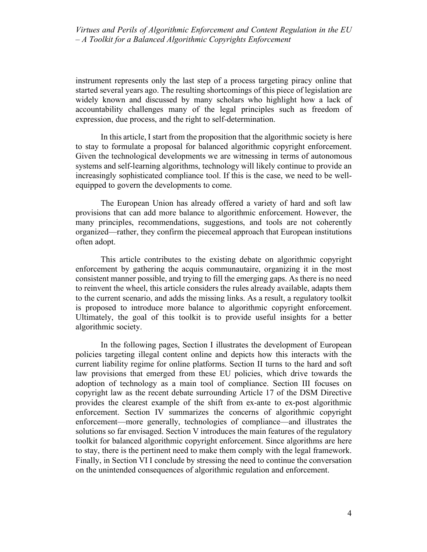instrument represents only the last step of a process targeting piracy online that started several years ago. The resulting shortcomings of this piece of legislation are widely known and discussed by many scholars who highlight how a lack of accountability challenges many of the legal principles such as freedom of expression, due process, and the right to self-determination.

In this article, I start from the proposition that the algorithmic society is here to stay to formulate a proposal for balanced algorithmic copyright enforcement. Given the technological developments we are witnessing in terms of autonomous systems and self-learning algorithms, technology will likely continue to provide an increasingly sophisticated compliance tool. If this is the case, we need to be wellequipped to govern the developments to come.

The European Union has already offered a variety of hard and soft law provisions that can add more balance to algorithmic enforcement. However, the many principles, recommendations, suggestions, and tools are not coherently organized—rather, they confirm the piecemeal approach that European institutions often adopt.

This article contributes to the existing debate on algorithmic copyright enforcement by gathering the acquis communautaire, organizing it in the most consistent manner possible, and trying to fill the emerging gaps. As there is no need to reinvent the wheel, this article considers the rules already available, adapts them to the current scenario, and adds the missing links. As a result, a regulatory toolkit is proposed to introduce more balance to algorithmic copyright enforcement. Ultimately, the goal of this toolkit is to provide useful insights for a better algorithmic society.

In the following pages, Section I illustrates the development of European policies targeting illegal content online and depicts how this interacts with the current liability regime for online platforms. Section II turns to the hard and soft law provisions that emerged from these EU policies, which drive towards the adoption of technology as a main tool of compliance. Section III focuses on copyright law as the recent debate surrounding Article 17 of the DSM Directive provides the clearest example of the shift from ex-ante to ex-post algorithmic enforcement. Section IV summarizes the concerns of algorithmic copyright enforcement—more generally, technologies of compliance—and illustrates the solutions so far envisaged. Section V introduces the main features of the regulatory toolkit for balanced algorithmic copyright enforcement. Since algorithms are here to stay, there is the pertinent need to make them comply with the legal framework. Finally, in Section VI I conclude by stressing the need to continue the conversation on the unintended consequences of algorithmic regulation and enforcement.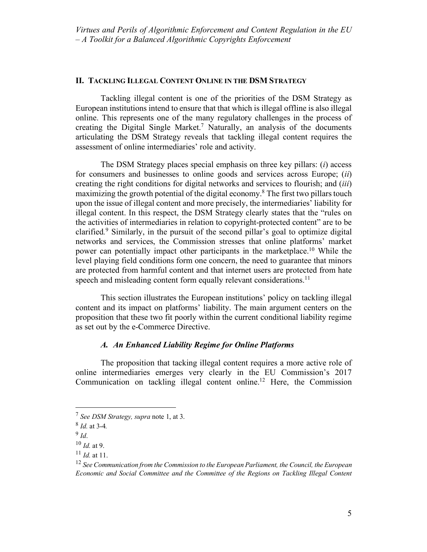#### **II. TACKLING ILLEGAL CONTENT ONLINE IN THE DSM STRATEGY**

Tackling illegal content is one of the priorities of the DSM Strategy as European institutions intend to ensure that that which is illegal offline is also illegal online. This represents one of the many regulatory challenges in the process of creating the Digital Single Market.<sup>7</sup> Naturally, an analysis of the documents articulating the DSM Strategy reveals that tackling illegal content requires the assessment of online intermediaries' role and activity.

The DSM Strategy places special emphasis on three key pillars: (*i*) access for consumers and businesses to online goods and services across Europe; (*ii*) creating the right conditions for digital networks and services to flourish; and (*iii*) maximizing the growth potential of the digital economy.8 The first two pillars touch upon the issue of illegal content and more precisely, the intermediaries' liability for illegal content. In this respect, the DSM Strategy clearly states that the "rules on the activities of intermediaries in relation to copyright-protected content" are to be clarified*.* <sup>9</sup> Similarly, in the pursuit of the second pillar's goal to optimize digital networks and services, the Commission stresses that online platforms' market power can potentially impact other participants in the marketplace.10 While the level playing field conditions form one concern, the need to guarantee that minors are protected from harmful content and that internet users are protected from hate speech and misleading content form equally relevant considerations.<sup>11</sup>

This section illustrates the European institutions' policy on tackling illegal content and its impact on platforms' liability. The main argument centers on the proposition that these two fit poorly within the current conditional liability regime as set out by the e-Commerce Directive.

# *A. An Enhanced Liability Regime for Online Platforms*

The proposition that tacking illegal content requires a more active role of online intermediaries emerges very clearly in the EU Commission's 2017 Communication on tackling illegal content online.12 Here, the Commission

 <sup>7</sup> *See DSM Strategy, supra* note 1, at 3.

<sup>8</sup> *Id.* at 3-4*.*

 $9$  *Id.* 

<sup>10</sup> *Id.* at 9.

 $^{11}$  *Id.* at 11.

<sup>12</sup> *See Communication from the Commission to the European Parliament, the Council, the European Economic and Social Committee and the Committee of the Regions on Tackling Illegal Content*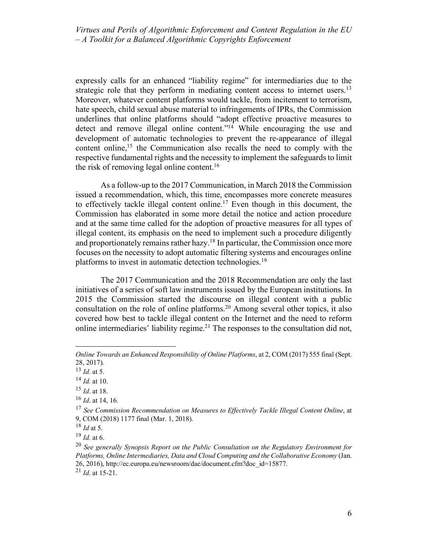expressly calls for an enhanced "liability regime" for intermediaries due to the strategic role that they perform in mediating content access to internet users.<sup>13</sup> Moreover, whatever content platforms would tackle, from incitement to terrorism, hate speech, child sexual abuse material to infringements of IPRs, the Commission underlines that online platforms should "adopt effective proactive measures to detect and remove illegal online content."<sup>14</sup> While encouraging the use and development of automatic technologies to prevent the re-appearance of illegal content online,<sup>15</sup> the Communication also recalls the need to comply with the respective fundamental rights and the necessity to implement the safeguards to limit the risk of removing legal online content.16

As a follow-up to the 2017 Communication, in March 2018 the Commission issued a recommendation, which, this time, encompasses more concrete measures to effectively tackle illegal content online.<sup>17</sup> Even though in this document, the Commission has elaborated in some more detail the notice and action procedure and at the same time called for the adoption of proactive measures for all types of illegal content, its emphasis on the need to implement such a procedure diligently and proportionately remains rather hazy.18 In particular, the Commission once more focuses on the necessity to adopt automatic filtering systems and encourages online platforms to invest in automatic detection technologies.19

The 2017 Communication and the 2018 Recommendation are only the last initiatives of a series of soft law instruments issued by the European institutions. In 2015 the Commission started the discourse on illegal content with a public consultation on the role of online platforms.20 Among several other topics, it also covered how best to tackle illegal content on the Internet and the need to reform online intermediaries' liability regime.<sup>21</sup> The responses to the consultation did not,

 $\overline{a}$ 

*Online Towards an Enhanced Responsibility of Online Platforms*, at 2, COM (2017) 555 final (Sept. 28, 2017).

<sup>13</sup> *Id.* at 5.

<sup>14</sup> *Id.* at 10.

<sup>15</sup> *Id*. at 18.

<sup>16</sup> *Id*. at 14, 16.

<sup>17</sup> *See Commission Recommendation on Measures to Effectively Tackle Illegal Content Online*, at 9, COM (2018) 1177 final (Mar. 1, 2018).

<sup>18</sup> *Id* at 5.

<sup>19</sup> *Id.* at 6.

<sup>20</sup> *See generally Synopsis Report on the Public Consultation on the Regulatory Environment for Platforms, Online Intermediaries, Data and Cloud Computing and the Collaborative Economy* (Jan. 26, 2016), http://ec.europa.eu/newsroom/dae/document.cfm?doc\_id=15877.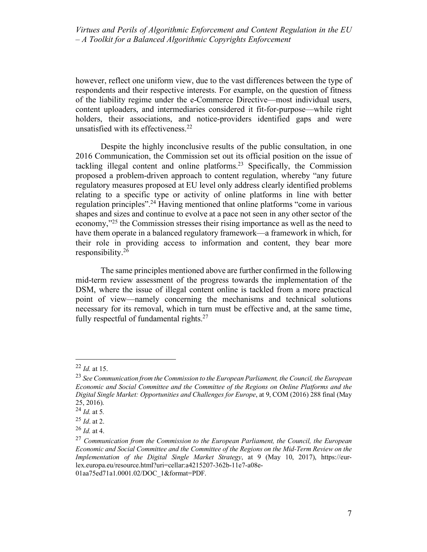however, reflect one uniform view, due to the vast differences between the type of respondents and their respective interests. For example, on the question of fitness of the liability regime under the e-Commerce Directive—most individual users, content uploaders, and intermediaries considered it fit-for-purpose—while right holders, their associations, and notice-providers identified gaps and were unsatisfied with its effectiveness.<sup>22</sup>

Despite the highly inconclusive results of the public consultation, in one 2016 Communication, the Commission set out its official position on the issue of tackling illegal content and online platforms.<sup>23</sup> Specifically, the Commission proposed a problem-driven approach to content regulation, whereby "any future regulatory measures proposed at EU level only address clearly identified problems relating to a specific type or activity of online platforms in line with better regulation principles".24 Having mentioned that online platforms "come in various shapes and sizes and continue to evolve at a pace not seen in any other sector of the economy,"25 the Commission stresses their rising importance as well as the need to have them operate in a balanced regulatory framework—a framework in which, for their role in providing access to information and content, they bear more responsibility.26

The same principles mentioned above are further confirmed in the following mid-term review assessment of the progress towards the implementation of the DSM, where the issue of illegal content online is tackled from a more practical point of view—namely concerning the mechanisms and technical solutions necessary for its removal, which in turn must be effective and, at the same time, fully respectful of fundamental rights.<sup>27</sup>

 <sup>22</sup> *Id.* at 15.

<sup>23</sup> *See Communication from the Commission to the European Parliament, the Council, the European Economic and Social Committee and the Committee of the Regions on Online Platforms and the Digital Single Market: Opportunities and Challenges for Europe*, at 9, COM (2016) 288 final (May 25, 2016).

<sup>24</sup> *Id.* at 5*.*

<sup>25</sup> *Id*. at 2.

<sup>26</sup> *Id.* at 4.

<sup>27</sup> *Communication from the Commission to the European Parliament, the Council, the European Economic and Social Committee and the Committee of the Regions on the Mid-Term Review on the Implementation of the Digital Single Market Strategy*, at 9 (May 10, 2017), https://eurlex.europa.eu/resource.html?uri=cellar:a4215207-362b-11e7-a08e-01aa75ed71a1.0001.02/DOC\_1&format=PDF.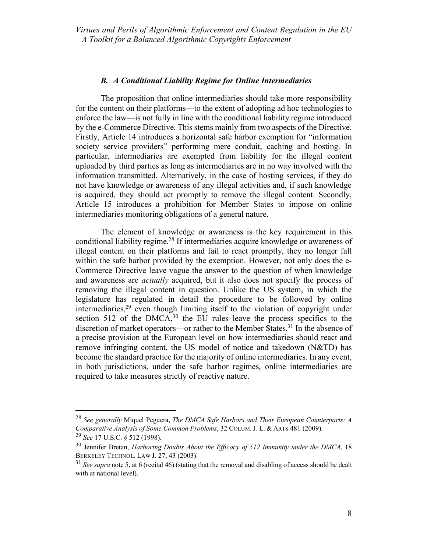## *B. A Conditional Liability Regime for Online Intermediaries*

The proposition that online intermediaries should take more responsibility for the content on their platforms—to the extent of adopting ad hoc technologies to enforce the law—is not fully in line with the conditional liability regime introduced by the e-Commerce Directive. This stems mainly from two aspects of the Directive. Firstly, Article 14 introduces a horizontal safe harbor exemption for "information society service providers" performing mere conduit, caching and hosting. In particular, intermediaries are exempted from liability for the illegal content uploaded by third parties as long as intermediaries are in no way involved with the information transmitted. Alternatively, in the case of hosting services, if they do not have knowledge or awareness of any illegal activities and, if such knowledge is acquired, they should act promptly to remove the illegal content. Secondly, Article 15 introduces a prohibition for Member States to impose on online intermediaries monitoring obligations of a general nature.

The element of knowledge or awareness is the key requirement in this conditional liability regime.<sup>28</sup> If intermediaries acquire knowledge or awareness of illegal content on their platforms and fail to react promptly, they no longer fall within the safe harbor provided by the exemption. However, not only does the e-Commerce Directive leave vague the answer to the question of when knowledge and awareness are *actually* acquired, but it also does not specify the process of removing the illegal content in question. Unlike the US system, in which the legislature has regulated in detail the procedure to be followed by online intermediaries, $29$  even though limiting itself to the violation of copyright under section 512 of the DMCA, $30$  the EU rules leave the process specifics to the discretion of market operators—or rather to the Member States.<sup>31</sup> In the absence of a precise provision at the European level on how intermediaries should react and remove infringing content, the US model of notice and takedown (N&TD) has become the standard practice for the majority of online intermediaries. In any event, in both jurisdictions, under the safe harbor regimes, online intermediaries are required to take measures strictly of reactive nature.

 <sup>28</sup> *See generally* Miquel Peguera, *The DMCA Safe Harbors and Their European Counterparts: A Comparative Analysis of Some Common Problems*, 32 COLUM. J. L. & ARTS 481 (2009). <sup>29</sup> *See* 17 U.S.C. § 512 (1998).

<sup>30</sup> Jennifer Bretan, *Harboring Doubts About the Efficacy of 512 Immunity under the DMCA*, 18 BERKELEY TECHNOL. LAW J. 27, 43 (2003).

<sup>31</sup> *See supra* note 5, at 6 (recital 46) (stating that the removal and disabling of access should be dealt with at national level).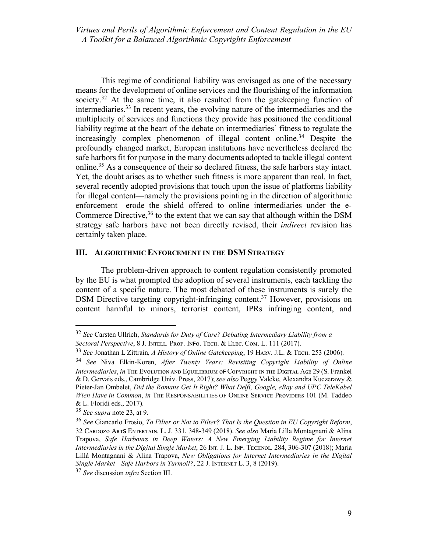This regime of conditional liability was envisaged as one of the necessary means for the development of online services and the flourishing of the information society.<sup>32</sup> At the same time, it also resulted from the gatekeeping function of intermediaries.33 In recent years, the evolving nature of the intermediaries and the multiplicity of services and functions they provide has positioned the conditional liability regime at the heart of the debate on intermediaries' fitness to regulate the increasingly complex phenomenon of illegal content online.<sup>34</sup> Despite the profoundly changed market, European institutions have nevertheless declared the safe harbors fit for purpose in the many documents adopted to tackle illegal content online.35 As a consequence of their so declared fitness, the safe harbors stay intact. Yet, the doubt arises as to whether such fitness is more apparent than real. In fact, several recently adopted provisions that touch upon the issue of platforms liability for illegal content—namely the provisions pointing in the direction of algorithmic enforcement—erode the shield offered to online intermediaries under the e-Commerce Directive,  $36$  to the extent that we can say that although within the DSM strategy safe harbors have not been directly revised, their *indirect* revision has certainly taken place.

### **III. ALGORITHMIC ENFORCEMENT IN THE DSM STRATEGY**

The problem-driven approach to content regulation consistently promoted by the EU is what prompted the adoption of several instruments, each tackling the content of a specific nature. The most debated of these instruments is surely the DSM Directive targeting copyright-infringing content.<sup>37</sup> However, provisions on content harmful to minors, terrorist content, IPRs infringing content, and

 <sup>32</sup> *See* Carsten Ullrich, *Standards for Duty of Care? Debating Intermediary Liability from a Sectoral Perspective*, 8 J. INTELL. PROP. INFO. TECH. & ELEC. COM. L. 111 (2017).

<sup>&</sup>lt;sup>33</sup> See Jonathan L Zittrain, A History of Online Gatekeeping, 19 HARV. J.L. & TECH. 253 (2006).

<sup>34</sup> *See* Niva Elkin-Koren, *After Twenty Years: Revisiting Copyright Liability of Online Intermediaries*, *in* The Evolution and Equilibrium of Copyright in the Digital Age 29 (S. Frankel & D. Gervais eds., Cambridge Univ. Press, 2017); *see also* Peggy Valcke, Alexandra Kuczerawy & Pieter-Jan Ombelet, *Did the Romans Get It Right? What Delfi, Google, eBay and UPC TeleKabel Wien Have in Common, in* The RESPONSABILITIES OF ONLINE SERVICE PROVIDERS 101 (M. Taddeo & L. Floridi eds., 2017).

<sup>35</sup> *See supra* note 23, at 9.

<sup>36</sup> *See* Giancarlo Frosio, *To Filter or Not to Filter? That Is the Question in EU Copyright Reform*, 32 Cᴀʀᴅᴏᴢᴏ Aʀᴛꜱ Eɴᴛᴇʀᴛᴀɪɴ. L. J. 331, 348-349 (2018). *See also* Maria Lilla Montagnani & Alina Trapova, *Safe Harbours in Deep Waters: A New Emerging Liability Regime for Internet Intermediaries in the Digital Single Market*, 26 INT. J. L. INF. TECHNOL. 284, 306-307 (2018); Maria Lillà Montagnani & Alina Trapova, *New Obligations for Internet Intermediaries in the Digital*  Single Market-Safe Harbors in Turmoil?, 22 J. INTERNET L. 3, 8 (2019).

<sup>37</sup> *See* discussion *infra* Section III.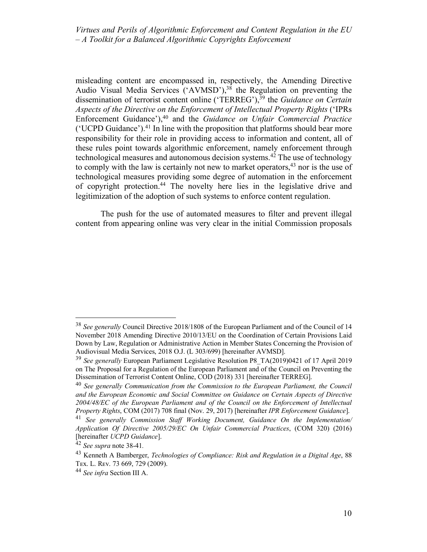misleading content are encompassed in, respectively, the Amending Directive Audio Visual Media Services ('AVMSD'),<sup>38</sup> the Regulation on preventing the dissemination of terrorist content online ('TERREG'),<sup>39</sup> the *Guidance on Certain Aspects of the Directive on the Enforcement of Intellectual Property Rights* ('IPRs Enforcement Guidance'),40 and the *Guidance on Unfair Commercial Practice* ('UCPD Guidance').41 In line with the proposition that platforms should bear more responsibility for their role in providing access to information and content, all of these rules point towards algorithmic enforcement, namely enforcement through technological measures and autonomous decision systems.42 The use of technology to comply with the law is certainly not new to market operators,  $43$  nor is the use of technological measures providing some degree of automation in the enforcement of copyright protection.44 The novelty here lies in the legislative drive and legitimization of the adoption of such systems to enforce content regulation.

The push for the use of automated measures to filter and prevent illegal content from appearing online was very clear in the initial Commission proposals

 <sup>38</sup> *See generally* Council Directive 2018/1808 of the European Parliament and of the Council of 14 November 2018 Amending Directive 2010/13/EU on the Coordination of Certain Provisions Laid Down by Law, Regulation or Administrative Action in Member States Concerning the Provision of Audiovisual Media Services, 2018 O.J. (L 303/699) [hereinafter AVMSD].

<sup>39</sup> *See generally* European Parliament Legislative Resolution P8\_TA(2019)0421 of 17 April 2019 on The Proposal for a Regulation of the European Parliament and of the Council on Preventing the Dissemination of Terrorist Content Online, COD (2018) 331 [hereinafter TERREG].

<sup>40</sup> *See generally Communication from the Commission to the European Parliament, the Council and the European Economic and Social Committee on Guidance on Certain Aspects of Directive 2004/48/EC of the European Parliament and of the Council on the Enforcement of Intellectual Property Rights*, COM (2017) 708 final (Nov. 29, 2017) [hereinafter *IPR Enforcement Guidance*].

<sup>41</sup> *See generally Commission Staff Working Document, Guidance On the Implementation/ Application Of Directive 2005/29/EC On Unfair Commercial Practices*, (COM 320) (2016) [hereinafter *UCPD Guidance*].

<sup>42</sup> *See supra* note 38-41*.*

<sup>43</sup> Kenneth A Bamberger, *Technologies of Compliance: Risk and Regulation in a Digital Age*, 88 TEX. L. REV. 73 669, 729 (2009).

<sup>44</sup> *See infra* Section III A.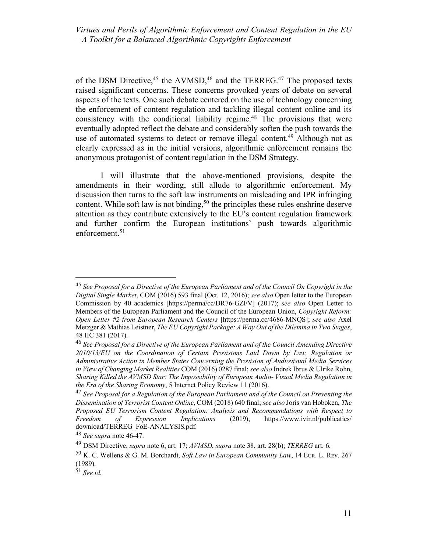of the DSM Directive,  $45$  the AVMSD,  $46$  and the TERREG,  $47$  The proposed texts raised significant concerns. These concerns provoked years of debate on several aspects of the texts. One such debate centered on the use of technology concerning the enforcement of content regulation and tackling illegal content online and its consistency with the conditional liability regime.<sup>48</sup> The provisions that were eventually adopted reflect the debate and considerably soften the push towards the use of automated systems to detect or remove illegal content.<sup>49</sup> Although not as clearly expressed as in the initial versions, algorithmic enforcement remains the anonymous protagonist of content regulation in the DSM Strategy.

I will illustrate that the above-mentioned provisions, despite the amendments in their wording, still allude to algorithmic enforcement. My discussion then turns to the soft law instruments on misleading and IPR infringing content. While soft law is not binding,<sup>50</sup> the principles these rules enshrine deserve attention as they contribute extensively to the EU's content regulation framework and further confirm the European institutions' push towards algorithmic enforcement.<sup>51</sup>

 <sup>45</sup> *See Proposal for a Directive of the European Parliament and of the Council On Copyright in the Digital Single Market*, COM (2016) 593 final (Oct. 12, 2016); *see also* Open letter to the European Commission by 40 academics [https://perma/cc/DR76-GZFV] (2017); *see also* Open Letter to Members of the European Parliament and the Council of the European Union, *Copyright Reform: Open Letter #2 from European Research Centers* [https://perma.cc/4686-MNQS]; *see also* Axel Metzger & Mathias Leistner, *The EU Copyright Package: A Way Out of the Dilemma in Two Stages*, 48 IIC 381 (2017).

<sup>46</sup> *See Proposal for a Directive of the European Parliament and of the Council Amending Directive 2010/13/EU on the Coordination of Certain Provisions Laid Down by Law, Regulation or Administrative Action in Member States Concerning the Provision of Audiovisual Media Services in View of Changing Market Realities* COM (2016) 0287 final; *see also* Indrek Ibrus & Ulrike Rohn, *Sharing Killed the AVMSD Star: The Impossibility of European Audio- Visual Media Regulation in the Era of the Sharing Economy*, 5 Internet Policy Review 11 (2016).

<sup>47</sup> *See Proposal for a Regulation of the European Parliament and of the Council on Preventing the Dissemination of Terrorist Content Online*, COM (2018) 640 final; *see also* Joris van Hoboken, *The Proposed EU Terrorism Content Regulation: Analysis and Recommendations with Respect to Freedom of Expression Implications* (2019), https://www.ivir.nl/publicaties/ download/TERREG\_FoE-ANALYSIS.pdf.

<sup>48</sup> *See supra* note 46-47.

<sup>49</sup> DSM Directive, *supra* note 6, art. 17; *AVMSD*, *supra* note 38, art. 28(b); *TERREG* art. 6.

<sup>&</sup>lt;sup>50</sup> K. C. Wellens & G. M. Borchardt, *Soft Law in European Community Law*, 14 Eur. L. Rev. 267 (1989).

<sup>51</sup> *See id.*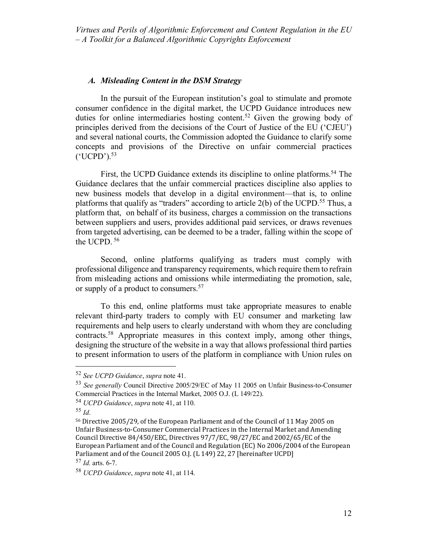## *A. Misleading Content in the DSM Strategy*

In the pursuit of the European institution's goal to stimulate and promote consumer confidence in the digital market, the UCPD Guidance introduces new duties for online intermediaries hosting content. <sup>52</sup> Given the growing body of principles derived from the decisions of the Court of Justice of the EU ('CJEU') and several national courts, the Commission adopted the Guidance to clarify some concepts and provisions of the Directive on unfair commercial practices  $('UCPD')$ .<sup>53</sup>

First, the UCPD Guidance extends its discipline to online platforms.<sup>54</sup> The Guidance declares that the unfair commercial practices discipline also applies to new business models that develop in a digital environment—that is, to online platforms that qualify as "traders" according to article 2(b) of the UCPD.<sup>55</sup> Thus, a platform that, on behalf of its business, charges a commission on the transactions between suppliers and users, provides additional paid services, or draws revenues from targeted advertising, can be deemed to be a trader, falling within the scope of the UCPD. <sup>56</sup>

Second, online platforms qualifying as traders must comply with professional diligence and transparency requirements, which require them to refrain from misleading actions and omissions while intermediating the promotion, sale, or supply of a product to consumers.<sup>57</sup>

To this end, online platforms must take appropriate measures to enable relevant third-party traders to comply with EU consumer and marketing law requirements and help users to clearly understand with whom they are concluding contracts.58 Appropriate measures in this context imply, among other things, designing the structure of the website in a way that allows professional third parties to present information to users of the platform in compliance with Union rules on

 <sup>52</sup> *See UCPD Guidance*, *supra* note 41.

<sup>53</sup> *See generally* Council Directive 2005/29/EC of May 11 2005 on Unfair Business-to-Consumer Commercial Practices in the Internal Market, 2005 O.J. (L 149/22).

<sup>54</sup> *UCPD Guidance*, *supra* note 41, at 110.

<sup>55</sup> *Id*.

<sup>56</sup> Directive 2005/29, of the European Parliament and of the Council of 11 May 2005 on Unfair Business-to-Consumer Commercial Practices in the Internal Market and Amending Council Directive 84/450/EEC, Directives 97/7/EC, 98/27/EC and 2002/65/EC of the European Parliament and of the Council and Regulation (EC) No 2006/2004 of the European Parliament and of the Council 2005 O.J. (L 149) 22, 27 [hereinafter UCPD]

<sup>57</sup> *Id.* arts. 6-7.

<sup>58</sup> *UCPD Guidance*, *supra* note 41, at 114.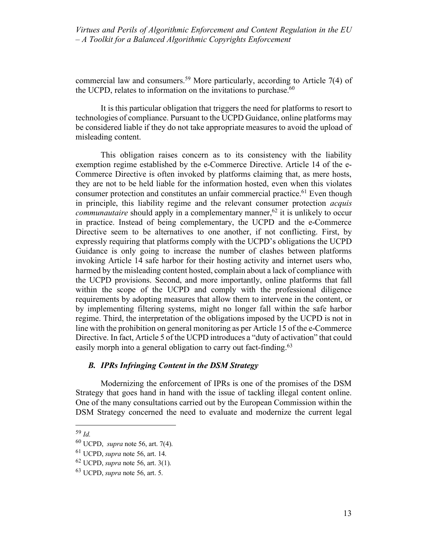commercial law and consumers.59 More particularly, according to Article 7(4) of the UCPD, relates to information on the invitations to purchase. $60$ 

It is this particular obligation that triggers the need for platforms to resort to technologies of compliance. Pursuant to the UCPD Guidance, online platforms may be considered liable if they do not take appropriate measures to avoid the upload of misleading content.

This obligation raises concern as to its consistency with the liability exemption regime established by the e-Commerce Directive. Article 14 of the e-Commerce Directive is often invoked by platforms claiming that, as mere hosts, they are not to be held liable for the information hosted, even when this violates consumer protection and constitutes an unfair commercial practice.<sup>61</sup> Even though in principle, this liability regime and the relevant consumer protection *acquis communautaire* should apply in a complementary manner,<sup>62</sup> it is unlikely to occur in practice. Instead of being complementary, the UCPD and the e-Commerce Directive seem to be alternatives to one another, if not conflicting. First, by expressly requiring that platforms comply with the UCPD's obligations the UCPD Guidance is only going to increase the number of clashes between platforms invoking Article 14 safe harbor for their hosting activity and internet users who, harmed by the misleading content hosted, complain about a lack of compliance with the UCPD provisions. Second, and more importantly, online platforms that fall within the scope of the UCPD and comply with the professional diligence requirements by adopting measures that allow them to intervene in the content, or by implementing filtering systems, might no longer fall within the safe harbor regime. Third, the interpretation of the obligations imposed by the UCPD is not in line with the prohibition on general monitoring as per Article 15 of the e-Commerce Directive. In fact, Article 5 of the UCPD introduces a "duty of activation" that could easily morph into a general obligation to carry out fact-finding.<sup>63</sup>

# *B. IPRs Infringing Content in the DSM Strategy*

Modernizing the enforcement of IPRs is one of the promises of the DSM Strategy that goes hand in hand with the issue of tackling illegal content online. One of the many consultations carried out by the European Commission within the DSM Strategy concerned the need to evaluate and modernize the current legal

 <sup>59</sup> *Id.*

<sup>60</sup> UCPD, *supra* note 56, art. 7(4).

<sup>61</sup> UCPD, *supra* note 56, art. 14.

<sup>62</sup> UCPD, *supra* note 56, art. 3(1).

<sup>63</sup> UCPD, *supra* note 56, art. 5.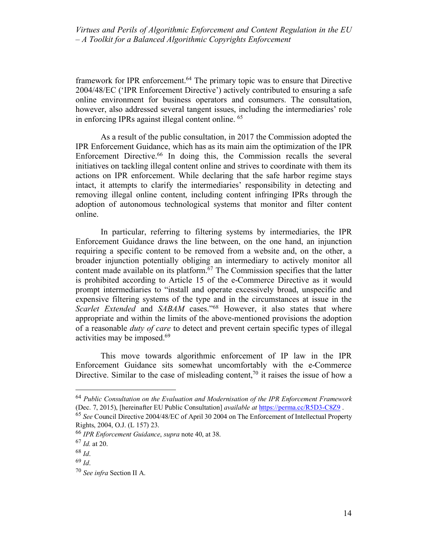framework for IPR enforcement.64 The primary topic was to ensure that Directive 2004/48/EC ('IPR Enforcement Directive') actively contributed to ensuring a safe online environment for business operators and consumers. The consultation, however, also addressed several tangent issues, including the intermediaries' role in enforcing IPRs against illegal content online. 65

As a result of the public consultation, in 2017 the Commission adopted the IPR Enforcement Guidance, which has as its main aim the optimization of the IPR Enforcement Directive.<sup>66</sup> In doing this, the Commission recalls the several initiatives on tackling illegal content online and strives to coordinate with them its actions on IPR enforcement. While declaring that the safe harbor regime stays intact, it attempts to clarify the intermediaries' responsibility in detecting and removing illegal online content, including content infringing IPRs through the adoption of autonomous technological systems that monitor and filter content online.

In particular, referring to filtering systems by intermediaries, the IPR Enforcement Guidance draws the line between, on the one hand, an injunction requiring a specific content to be removed from a website and, on the other, a broader injunction potentially obliging an intermediary to actively monitor all content made available on its platform.<sup> $67$ </sup> The Commission specifies that the latter is prohibited according to Article 15 of the e-Commerce Directive as it would prompt intermediaries to "install and operate excessively broad, unspecific and expensive filtering systems of the type and in the circumstances at issue in the *Scarlet Extended* and *SABAM* cases."68 However, it also states that where appropriate and within the limits of the above-mentioned provisions the adoption of a reasonable *duty of care* to detect and prevent certain specific types of illegal activities may be imposed.69

This move towards algorithmic enforcement of IP law in the IPR Enforcement Guidance sits somewhat uncomfortably with the e-Commerce Directive. Similar to the case of misleading content,<sup>70</sup> it raises the issue of how a

 <sup>64</sup> *Public Consultation on the Evaluation and Modernisation of the IPR Enforcement Framework* (Dec. 7, 2015), [hereinafter EU Public Consultation] *available at* https://perma.cc/R5D3-C8Z9 .

<sup>65</sup> *See* Council Directive 2004/48/EC of April 30 2004 on The Enforcement of Intellectual Property Rights, 2004, O.J. (L 157) 23.

<sup>66</sup> *IPR Enforcement Guidance*, *supra* note 40, at 38.

<sup>67</sup> *Id.* at 20.

<sup>68</sup> *Id*.

<sup>69</sup> *Id*.

<sup>70</sup> *See infra* Section II A.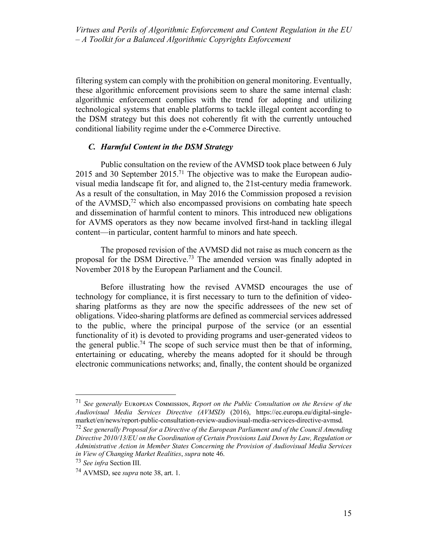filtering system can comply with the prohibition on general monitoring. Eventually, these algorithmic enforcement provisions seem to share the same internal clash: algorithmic enforcement complies with the trend for adopting and utilizing technological systems that enable platforms to tackle illegal content according to the DSM strategy but this does not coherently fit with the currently untouched conditional liability regime under the e-Commerce Directive.

# *C. Harmful Content in the DSM Strategy*

Public consultation on the review of the AVMSD took place between 6 July 2015 and 30 September 2015.<sup>71</sup> The objective was to make the European audiovisual media landscape fit for, and aligned to, the 21st-century media framework. As a result of the consultation, in May 2016 the Commission proposed a revision of the AVMSD, $<sup>72</sup>$  which also encompassed provisions on combating hate speech</sup> and dissemination of harmful content to minors. This introduced new obligations for AVMS operators as they now became involved first-hand in tackling illegal content—in particular, content harmful to minors and hate speech.

The proposed revision of the AVMSD did not raise as much concern as the proposal for the DSM Directive.73 The amended version was finally adopted in November 2018 by the European Parliament and the Council.

Before illustrating how the revised AVMSD encourages the use of technology for compliance, it is first necessary to turn to the definition of videosharing platforms as they are now the specific addressees of the new set of obligations. Video-sharing platforms are defined as commercial services addressed to the public, where the principal purpose of the service (or an essential functionality of it) is devoted to providing programs and user-generated videos to the general public.<sup>74</sup> The scope of such service must then be that of informing, entertaining or educating, whereby the means adopted for it should be through electronic communications networks; and, finally, the content should be organized

 <sup>71</sup> *See generally* <sup>E</sup>ᴜʀᴏᴘᴇᴀɴ <sup>C</sup>ᴏᴍᴍɪssɪᴏɴ, *Report on the Public Consultation on the Review of the Audiovisual Media Services Directive (AVMSD)* (2016), https://ec.europa.eu/digital-singlemarket/en/news/report-public-consultation-review-audiovisual-media-services-directive-avmsd.

<sup>72</sup> *See generally Proposal for a Directive of the European Parliament and of the Council Amending Directive 2010/13/EU on the Coordination of Certain Provisions Laid Down by Law, Regulation or Administrative Action in Member States Concerning the Provision of Audiovisual Media Services in View of Changing Market Realities*, *supra* note 46.

<sup>73</sup> *See infra* Section III.

<sup>74</sup> AVMSD, see *supra* note 38, art. 1.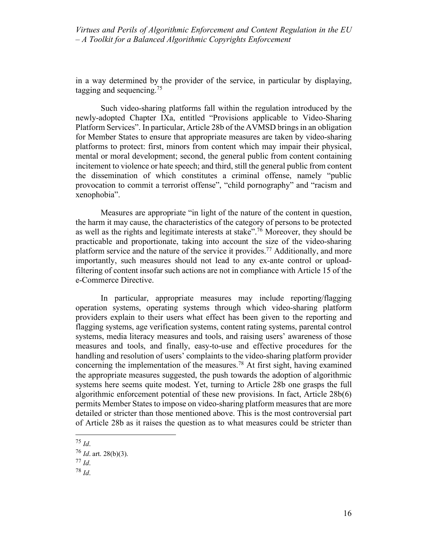in a way determined by the provider of the service, in particular by displaying, tagging and sequencing.<sup>75</sup>

Such video-sharing platforms fall within the regulation introduced by the newly-adopted Chapter IXa, entitled "Provisions applicable to Video-Sharing Platform Services". In particular, Article 28b of the AVMSD brings in an obligation for Member States to ensure that appropriate measures are taken by video-sharing platforms to protect: first, minors from content which may impair their physical, mental or moral development; second, the general public from content containing incitement to violence or hate speech; and third, still the general public from content the dissemination of which constitutes a criminal offense, namely "public provocation to commit a terrorist offense", "child pornography" and "racism and xenophobia".

Measures are appropriate "in light of the nature of the content in question, the harm it may cause, the characteristics of the category of persons to be protected as well as the rights and legitimate interests at stake".76 Moreover, they should be practicable and proportionate, taking into account the size of the video-sharing platform service and the nature of the service it provides.77 Additionally, and more importantly, such measures should not lead to any ex-ante control or uploadfiltering of content insofar such actions are not in compliance with Article 15 of the e-Commerce Directive.

In particular, appropriate measures may include reporting/flagging operation systems, operating systems through which video-sharing platform providers explain to their users what effect has been given to the reporting and flagging systems, age verification systems, content rating systems, parental control systems, media literacy measures and tools, and raising users' awareness of those measures and tools, and finally, easy-to-use and effective procedures for the handling and resolution of users' complaints to the video-sharing platform provider concerning the implementation of the measures.<sup>78</sup> At first sight, having examined the appropriate measures suggested, the push towards the adoption of algorithmic systems here seems quite modest. Yet, turning to Article 28b one grasps the full algorithmic enforcement potential of these new provisions. In fact, Article 28b(6) permits Member States to impose on video-sharing platform measures that are more detailed or stricter than those mentioned above. This is the most controversial part of Article 28b as it raises the question as to what measures could be stricter than

 <sup>75</sup> *Id*.

<sup>76</sup> *Id*. art. 28(b)(3).

<sup>77</sup> *Id*.

<sup>78</sup> *Id*.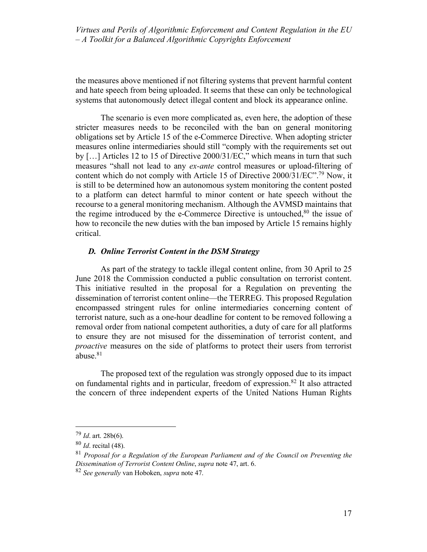the measures above mentioned if not filtering systems that prevent harmful content and hate speech from being uploaded. It seems that these can only be technological systems that autonomously detect illegal content and block its appearance online.

The scenario is even more complicated as, even here, the adoption of these stricter measures needs to be reconciled with the ban on general monitoring obligations set by Article 15 of the e-Commerce Directive. When adopting stricter measures online intermediaries should still "comply with the requirements set out by […] Articles 12 to 15 of Directive 2000/31/EC," which means in turn that such measures "shall not lead to any *ex-ante* control measures or upload-filtering of content which do not comply with Article 15 of Directive  $2000/31/EC$ ".<sup>79</sup> Now, it is still to be determined how an autonomous system monitoring the content posted to a platform can detect harmful to minor content or hate speech without the recourse to a general monitoring mechanism. Although the AVMSD maintains that the regime introduced by the e-Commerce Directive is untouched, $80$  the issue of how to reconcile the new duties with the ban imposed by Article 15 remains highly critical.

# *D. Online Terrorist Content in the DSM Strategy*

As part of the strategy to tackle illegal content online, from 30 April to 25 June 2018 the Commission conducted a public consultation on terrorist content. This initiative resulted in the proposal for a Regulation on preventing the dissemination of terrorist content online—the TERREG. This proposed Regulation encompassed stringent rules for online intermediaries concerning content of terrorist nature, such as a one-hour deadline for content to be removed following a removal order from national competent authorities, a duty of care for all platforms to ensure they are not misused for the dissemination of terrorist content, and *proactive* measures on the side of platforms to protect their users from terrorist abuse.<sup>81</sup>

The proposed text of the regulation was strongly opposed due to its impact on fundamental rights and in particular, freedom of expression.<sup>82</sup> It also attracted the concern of three independent experts of the United Nations Human Rights

 <sup>79</sup> *Id*. art. 28b(6).

<sup>80</sup> *Id*. recital (48).

<sup>81</sup> *Proposal for a Regulation of the European Parliament and of the Council on Preventing the Dissemination of Terrorist Content Online*, *supra* note 47, art. 6.

<sup>82</sup> *See generally* van Hoboken, *supra* note 47.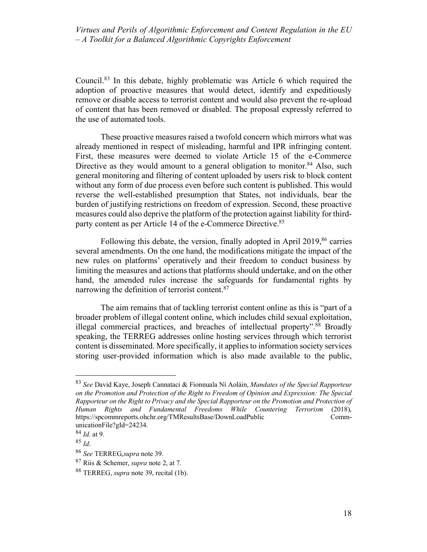Council.83 In this debate, highly problematic was Article 6 which required the adoption of proactive measures that would detect, identify and expeditiously remove or disable access to terrorist content and would also prevent the re-upload of content that has been removed or disabled. The proposal expressly referred to the use of automated tools.

These proactive measures raised a twofold concern which mirrors what was already mentioned in respect of misleading, harmful and IPR infringing content. First, these measures were deemed to violate Article 15 of the e-Commerce Directive as they would amount to a general obligation to monitor.<sup>84</sup> Also, such general monitoring and filtering of content uploaded by users risk to block content without any form of due process even before such content is published. This would reverse the well-established presumption that States, not individuals, bear the burden of justifying restrictions on freedom of expression. Second, these proactive measures could also deprive the platform of the protection against liability for thirdparty content as per Article 14 of the e-Commerce Directive.<sup>85</sup>

Following this debate, the version, finally adopted in April 2019,<sup>86</sup> carries several amendments. On the one hand, the modifications mitigate the impact of the new rules on platforms' operatively and their freedom to conduct business by limiting the measures and actions that platforms should undertake, and on the other hand, the amended rules increase the safeguards for fundamental rights by narrowing the definition of terrorist content.<sup>87</sup>

The aim remains that of tackling terrorist content online as this is "part of a broader problem of illegal content online, which includes child sexual exploitation, illegal commercial practices, and breaches of intellectual property".<sup>88</sup> Broadly speaking, the TERREG addresses online hosting services through which terrorist content is disseminated. More specifically, it applies to information society services storing user-provided information which is also made available to the public,

 <sup>83</sup> *See* David Kaye, Joseph Cannataci & Fionnuala Ní Aoláin, *Mandates of the Special Rapporteur on the Promotion and Protection of the Right to Freedom of Opinion and Expression: The Special Rapporteur on the Right to Privacy and the Special Rapporteur on the Promotion and Protection of Human Rights and Fundamental Freedoms While Countering Terrorism* (2018), https://spcommreports.ohchr.org/TMResultsBase/DownLoadPublic CommunicationFile?gId=24234.

<sup>84</sup> *Id*. at 9.

<sup>85</sup> *Id*.

<sup>86</sup> *See* TERREG,*supra* note 39.

<sup>87</sup> Riis & Schemer, *supra* note 2, at 7.

<sup>88</sup> TERREG, *supra* note 39, recital (1b).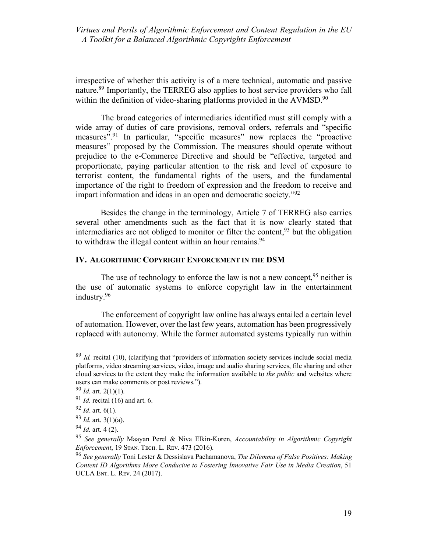irrespective of whether this activity is of a mere technical, automatic and passive nature.<sup>89</sup> Importantly, the TERREG also applies to host service providers who fall within the definition of video-sharing platforms provided in the AVMSD.<sup>90</sup>

The broad categories of intermediaries identified must still comply with a wide array of duties of care provisions, removal orders, referrals and "specific measures".91 In particular, "specific measures" now replaces the "proactive measures" proposed by the Commission. The measures should operate without prejudice to the e-Commerce Directive and should be "effective, targeted and proportionate, paying particular attention to the risk and level of exposure to terrorist content, the fundamental rights of the users, and the fundamental importance of the right to freedom of expression and the freedom to receive and impart information and ideas in an open and democratic society.<sup>"92</sup>

Besides the change in the terminology, Article 7 of TERREG also carries several other amendments such as the fact that it is now clearly stated that intermediaries are not obliged to monitor or filter the content,  $93$  but the obligation to withdraw the illegal content within an hour remains.<sup>94</sup>

#### **IV. ALGORITHMIC COPYRIGHT ENFORCEMENT IN THE DSM**

The use of technology to enforce the law is not a new concept,  $95$  neither is the use of automatic systems to enforce copyright law in the entertainment industry.96

The enforcement of copyright law online has always entailed a certain level of automation. However, over the last few years, automation has been progressively replaced with autonomy. While the former automated systems typically run within

 <sup>89</sup> *Id.* recital (10), (clarifying that "providers of information society services include social media platforms, video streaming services, video, image and audio sharing services, file sharing and other cloud services to the extent they make the information available to *the public* and websites where users can make comments or post reviews.").

<sup>90</sup> *Id.* art. 2(1)(1). <sup>91</sup> *Id.* recital (16) and art. 6.

<sup>92</sup> *Id*. art. 6(1).

<sup>93</sup> *Id.* art. 3(1)(a).

<sup>94</sup> *Id.* art. 4 (2).

<sup>95</sup> *See generally* Maayan Perel & Niva Elkin-Koren, *Accountability in Algorithmic Copyright Enforcement*, 19 STAN. TECH. L. REV. 473 (2016).

<sup>96</sup> *See generally* Toni Lester & Dessislava Pachamanova, *The Dilemma of False Positives: Making Content ID Algorithms More Conducive to Fostering Innovative Fair Use in Media Creation*, 51 UCLA ENT. L. REV. 24 (2017).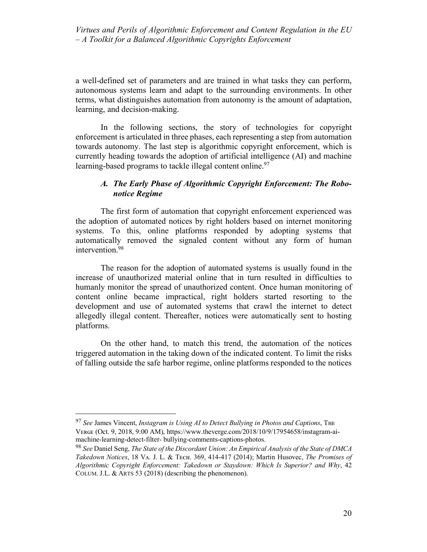a well-defined set of parameters and are trained in what tasks they can perform, autonomous systems learn and adapt to the surrounding environments. In other terms, what distinguishes automation from autonomy is the amount of adaptation, learning, and decision-making.

In the following sections, the story of technologies for copyright enforcement is articulated in three phases, each representing a step from automation towards autonomy. The last step is algorithmic copyright enforcement, which is currently heading towards the adoption of artificial intelligence (AI) and machine learning-based programs to tackle illegal content online.<sup>97</sup>

# *A. The Early Phase of Algorithmic Copyright Enforcement: The Robonotice Regime*

The first form of automation that copyright enforcement experienced was the adoption of automated notices by right holders based on internet monitoring systems. To this, online platforms responded by adopting systems that automatically removed the signaled content without any form of human intervention.98

The reason for the adoption of automated systems is usually found in the increase of unauthorized material online that in turn resulted in difficulties to humanly monitor the spread of unauthorized content. Once human monitoring of content online became impractical, right holders started resorting to the development and use of automated systems that crawl the internet to detect allegedly illegal content. Thereafter, notices were automatically sent to hosting platforms.

On the other hand, to match this trend, the automation of the notices triggered automation in the taking down of the indicated content. To limit the risks of falling outside the safe harbor regime, online platforms responded to the notices

<sup>&</sup>lt;sup>97</sup> See James Vincent, *Instagram is Using AI to Detect Bullying in Photos and Captions*, The VERGE (Oct. 9, 2018, 9:00 AM), https://www.theverge.com/2018/10/9/17954658/instagram-aimachine-learning-detect-filter- bullying-comments-captions-photos.

<sup>98</sup> *See* Daniel Seng, *The State of the Discordant Union: An Empirical Analysis of the State of DMCA Takedown Notices*, 18 Vᴀ. J. L. & Tᴇᴄʜ. 369, 414-417 (2014); Martin Husovec, *The Promises of Algorithmic Copyright Enforcement: Takedown or Staydown: Which Is Superior? and Why*, 42 COLUM. J.L. & ARTS 53 (2018) (describing the phenomenon).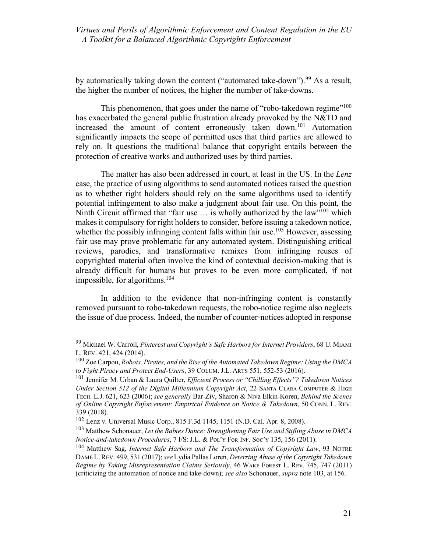by automatically taking down the content ("automated take-down").<sup>99</sup> As a result, the higher the number of notices, the higher the number of take-downs.

This phenomenon, that goes under the name of "robo-takedown regime"<sup>100</sup> has exacerbated the general public frustration already provoked by the N&TD and increased the amount of content erroneously taken down.101 Automation significantly impacts the scope of permitted uses that third parties are allowed to rely on. It questions the traditional balance that copyright entails between the protection of creative works and authorized uses by third parties.

The matter has also been addressed in court, at least in the US. In the *Lenz*  case, the practice of using algorithms to send automated notices raised the question as to whether right holders should rely on the same algorithms used to identify potential infringement to also make a judgment about fair use. On this point, the Ninth Circuit affirmed that "fair use ... is wholly authorized by the law"<sup>102</sup> which makes it compulsory for right holders to consider, before issuing a takedown notice, whether the possibly infringing content falls within fair use.<sup>103</sup> However, assessing fair use may prove problematic for any automated system. Distinguishing critical reviews, parodies, and transformative remixes from infringing reuses of copyrighted material often involve the kind of contextual decision-making that is already difficult for humans but proves to be even more complicated, if not impossible, for algorithms.104

In addition to the evidence that non-infringing content is constantly removed pursuant to robo-takedown requests, the robo-notice regime also neglects the issue of due process. Indeed, the number of counter-notices adopted in response

 <sup>99</sup> Michael W. Carroll, *Pinterest and Copyright's Safe Harbors for Internet Providers*, 68 U. MIAMI L. REV. 421, 424 (2014).

<sup>100</sup> Zoe Carpou, *Robots, Pirates, and the Rise of the Automated Takedown Regime: Using the DMCA to Fight Piracy and Protect End-Users*, 39 COLUM. J.L. ARTS 551, 552-53 (2016).

<sup>101</sup> Jennifer M. Urban & Laura Quilter, *Efficient Process or "Chilling Effects"? Takedown Notices*  Under Section 512 of the Digital Millennium Copyright Act, 22 SANTA CLARA COMPUTER & HIGH Tᴇᴄʜ. L.J. 621, 623 (2006); *see generally* Bar-Ziv, Sharon & Niva Elkin-Koren, *Behind the Scenes of Online Copyright Enforcement: Empirical Evidence on Notice & Takedown*, 50 CONN. L. REV. 339 (2018).

<sup>102</sup> Lenz v. Universal Music Corp., 815 F.3d 1145, 1151 (N.D. Cal. Apr. 8, 2008).

<sup>103</sup> Matthew Schonauer, *Let the Babies Dance: Strengthening Fair Use and Stifling Abuse in DMCA Notice-and-takedown Procedures*, 7 I/S: J.L. & Pᴏʟ'ʏ Fᴏʀ IɴF. Sᴏᴄ'ʏ 135, 156 (2011).

<sup>104</sup> Matthew Sag, *Internet Safe Harbors and The Transformation of Copyright Law*, 93 NOTRE DAME L.REV. 499, 531 (2017); *see* Lydia Pallas Loren, *Deterring Abuse of the Copyright Takedown Regime by Taking Misrepresentation Claims Seriously*, 46 WAKE FOREST L. REV. 745, 747 (2011) (criticizing the automation of notice and take-down); *see also* Schonauer, *supra* note 103, at 156.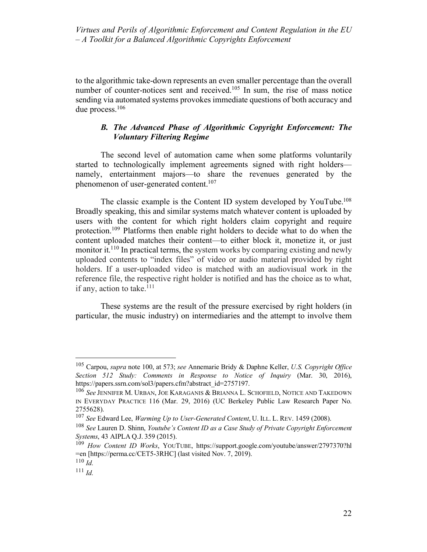to the algorithmic take-down represents an even smaller percentage than the overall number of counter-notices sent and received.<sup>105</sup> In sum, the rise of mass notice sending via automated systems provokes immediate questions of both accuracy and due process.106

# *B. The Advanced Phase of Algorithmic Copyright Enforcement: The Voluntary Filtering Regime*

The second level of automation came when some platforms voluntarily started to technologically implement agreements signed with right holders namely, entertainment majors—to share the revenues generated by the phenomenon of user-generated content.<sup>107</sup>

The classic example is the Content ID system developed by YouTube.<sup>108</sup> Broadly speaking, this and similar systems match whatever content is uploaded by users with the content for which right holders claim copyright and require protection.109 Platforms then enable right holders to decide what to do when the content uploaded matches their content—to either block it, monetize it, or just monitor it.<sup>110</sup> In practical terms, the system works by comparing existing and newly uploaded contents to "index files" of video or audio material provided by right holders. If a user-uploaded video is matched with an audiovisual work in the reference file, the respective right holder is notified and has the choice as to what, if any, action to take. $111$ 

These systems are the result of the pressure exercised by right holders (in particular, the music industry) on intermediaries and the attempt to involve them

 <sup>105</sup> Carpou, *supra* note 100, at 573; *see* Annemarie Bridy & Daphne Keller, *U.S. Copyright Office Section 512 Study: Comments in Response to Notice of Inquiry* (Mar. 30, 2016), https://papers.ssrn.com/sol3/papers.cfm?abstract\_id=2757197.

<sup>106</sup> *See* JENNIFER M. URBAN, JOE KARAGANIS & BRIANNA L. SCHOFIELD, NOTICE AND TAKEDOWN IN EVERYDAY PRACTICE 116 (Mar. 29, 2016) (UC Berkeley Public Law Research Paper No. 2755628).

<sup>107</sup> *See* Edward Lee, *Warming Up to User-Generated Content*, U. ILL. L. REV. 1459 (2008).

<sup>108</sup> *See* Lauren D. Shinn, *Youtube's Content ID as a Case Study of Private Copyright Enforcement Systems*, 43 AIPLA Q.J. 359 (2015).

<sup>109</sup> *How Content ID Works*, YOUTUBE, https://support.google.com/youtube/answer/2797370?hl =en [https://perma.cc/CET5-3RHC] (last visited Nov. 7, 2019).

<sup>110</sup> *Id.*

<sup>111</sup> *Id.*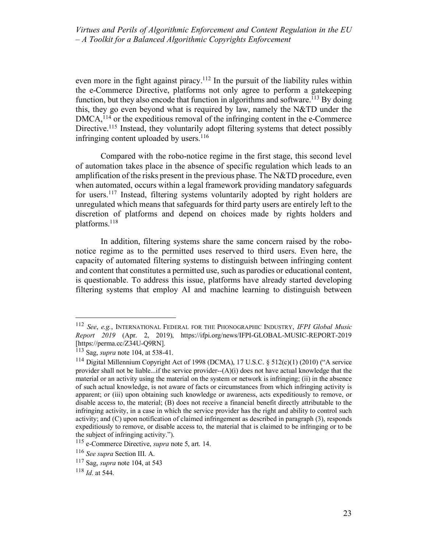even more in the fight against piracy.<sup>112</sup> In the pursuit of the liability rules within the e-Commerce Directive, platforms not only agree to perform a gatekeeping function, but they also encode that function in algorithms and software.<sup>113</sup> By doing this, they go even beyond what is required by law, namely the N&TD under the DMCA,<sup>114</sup> or the expeditious removal of the infringing content in the e-Commerce Directive.<sup>115</sup> Instead, they voluntarily adopt filtering systems that detect possibly infringing content uploaded by users. $116$ 

Compared with the robo-notice regime in the first stage, this second level of automation takes place in the absence of specific regulation which leads to an amplification of the risks present in the previous phase. The  $N&TD$  procedure, even when automated, occurs within a legal framework providing mandatory safeguards for users.117 Instead, filtering systems voluntarily adopted by right holders are unregulated which means that safeguards for third party users are entirely left to the discretion of platforms and depend on choices made by rights holders and platforms.118

In addition, filtering systems share the same concern raised by the robonotice regime as to the permitted uses reserved to third users. Even here, the capacity of automated filtering systems to distinguish between infringing content and content that constitutes a permitted use, such as parodies or educational content, is questionable. To address this issue, platforms have already started developing filtering systems that employ AI and machine learning to distinguish between

 <sup>112</sup> *See*, *e.g.*, INTERNATIONAL FEDERAL FOR THE PHONOGRAPHIC INDUSTRY, *IFPI Global Music Report 2019* (Apr. 2, 2019), https://ifpi.org/news/IFPI-GLOBAL-MUSIC-REPORT-2019 [https://perma.cc/Z34U-Q9RN].

<sup>113</sup> Sag, *supra* note 104, at 538-41.

<sup>114</sup> Digital Millennium Copyright Act of 1998 (DCMA), 17 U.S.C. § 512(c)(1) (2010) ("A service provider shall not be liable...if the service provider--(A)(i) does not have actual knowledge that the material or an activity using the material on the system or network is infringing; (ii) in the absence of such actual knowledge, is not aware of facts or circumstances from which infringing activity is apparent; or (iii) upon obtaining such knowledge or awareness, acts expeditiously to remove, or disable access to, the material; (B) does not receive a financial benefit directly attributable to the infringing activity, in a case in which the service provider has the right and ability to control such activity; and (C) upon notification of claimed infringement as described in paragraph (3), responds expeditiously to remove, or disable access to, the material that is claimed to be infringing or to be the subject of infringing activity.").

<sup>115</sup> e-Commerce Directive, *supra* note 5, art. 14.

<sup>116</sup> *See supra* Section III. A.

<sup>117</sup> Sag, *supra* note 104, at 543

<sup>118</sup> *Id.* at 544.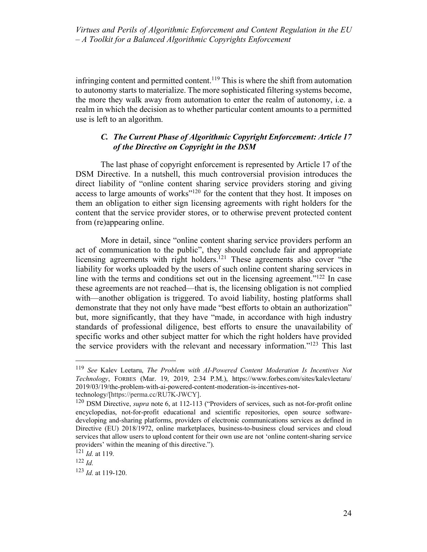infringing content and permitted content.<sup>119</sup> This is where the shift from automation to autonomy starts to materialize. The more sophisticated filtering systems become, the more they walk away from automation to enter the realm of autonomy, i.e. a realm in which the decision as to whether particular content amounts to a permitted use is left to an algorithm.

# *C. The Current Phase of Algorithmic Copyright Enforcement: Article 17 of the Directive on Copyright in the DSM*

The last phase of copyright enforcement is represented by Article 17 of the DSM Directive. In a nutshell, this much controversial provision introduces the direct liability of "online content sharing service providers storing and giving access to large amounts of works"<sup>120</sup> for the content that they host. It imposes on them an obligation to either sign licensing agreements with right holders for the content that the service provider stores, or to otherwise prevent protected content from (re)appearing online.

More in detail, since "online content sharing service providers perform an act of communication to the public", they should conclude fair and appropriate licensing agreements with right holders.<sup>121</sup> These agreements also cover "the liability for works uploaded by the users of such online content sharing services in line with the terms and conditions set out in the licensing agreement."122 In case these agreements are not reached—that is, the licensing obligation is not complied with—another obligation is triggered. To avoid liability, hosting platforms shall demonstrate that they not only have made "best efforts to obtain an authorization" but, more significantly, that they have "made, in accordance with high industry standards of professional diligence, best efforts to ensure the unavailability of specific works and other subject matter for which the right holders have provided the service providers with the relevant and necessary information."123 This last

 <sup>119</sup> *See* Kalev Leetaru, *The Problem with AI-Powered Content Moderation Is Incentives Not Technology*, FORBES (Mar. 19, 2019, 2:34 P.M.), https://www.forbes.com/sites/kalevleetaru/ 2019/03/19/the-problem-with-ai-powered-content-moderation-is-incentives-nottechnology/[https://perma.cc/RU7K-JWCY].

<sup>120</sup> DSM Directive, *supra* note 6, at 112-113 ("Providers of services, such as not-for-profit online encyclopedias, not-for-profit educational and scientific repositories, open source softwaredeveloping and-sharing platforms, providers of electronic communications services as defined in Directive (EU) 2018/1972, online marketplaces, business-to-business cloud services and cloud services that allow users to upload content for their own use are not 'online content-sharing service providers' within the meaning of this directive.").

<sup>121</sup> *Id.* at 119.

<sup>122</sup> *Id.* 

<sup>123</sup> *Id.* at 119-120.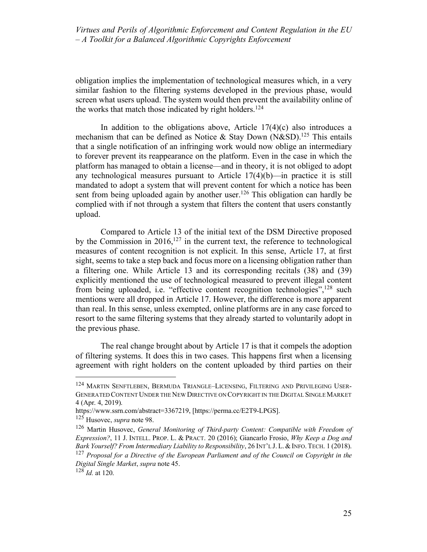obligation implies the implementation of technological measures which, in a very similar fashion to the filtering systems developed in the previous phase, would screen what users upload. The system would then prevent the availability online of the works that match those indicated by right holders.<sup>124</sup>

In addition to the obligations above, Article  $17(4)(c)$  also introduces a mechanism that can be defined as Notice & Stay Down  $(N&SD)$ .<sup>125</sup> This entails that a single notification of an infringing work would now oblige an intermediary to forever prevent its reappearance on the platform. Even in the case in which the platform has managed to obtain a license—and in theory, it is not obliged to adopt any technological measures pursuant to Article  $17(4)(b)$ —in practice it is still mandated to adopt a system that will prevent content for which a notice has been sent from being uploaded again by another user.<sup>126</sup> This obligation can hardly be complied with if not through a system that filters the content that users constantly upload.

Compared to Article 13 of the initial text of the DSM Directive proposed by the Commission in  $2016$ ,  $127$  in the current text, the reference to technological measures of content recognition is not explicit. In this sense, Article 17, at first sight, seems to take a step back and focus more on a licensing obligation rather than a filtering one. While Article 13 and its corresponding recitals (38) and (39) explicitly mentioned the use of technological measured to prevent illegal content from being uploaded, i.e. "effective content recognition technologies",<sup>128</sup> such mentions were all dropped in Article 17. However, the difference is more apparent than real. In this sense, unless exempted, online platforms are in any case forced to resort to the same filtering systems that they already started to voluntarily adopt in the previous phase.

The real change brought about by Article 17 is that it compels the adoption of filtering systems. It does this in two cases. This happens first when a licensing agreement with right holders on the content uploaded by third parties on their

 <sup>124</sup> MARTIN SENFTLEBEN, BERMUDA TRIANGLE–LICENSING, FILTERING AND PRIVILEGING USER-GENERATED CONTENT UNDER THE NEW DIRECTIVE ON COPYRIGHT IN THE DIGITAL SINGLE MARKET 4 (Apr. 4, 2019).

https://www.ssrn.com/abstract=3367219, [https://perma.cc/E2T9-LPGS].

<sup>125</sup> Husovec, *supra* note 98.

<sup>126</sup> Martin Husovec, *General Monitoring of Third-party Content: Compatible with Freedom of Expression?*, 11 J. INTELL. PROP. L. & PRACT. 20 (2016); Giancarlo Frosio, *Why Keep a Dog and Bark Yourself? From Intermediary Liability to Responsibility*, 26 INT'L J. L.&INFO. TECH. 1 (2018). <sup>127</sup> *Proposal for a Directive of the European Parliament and of the Council on Copyright in the Digital Single Market*, *supra* note 45.

 $128$  *Id.* at 120.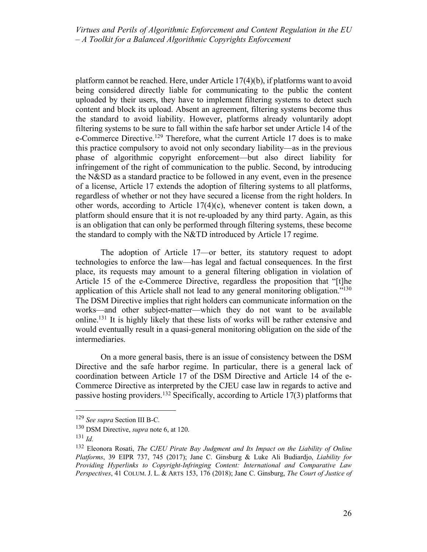platform cannot be reached. Here, under Article 17(4)(b), if platforms want to avoid being considered directly liable for communicating to the public the content uploaded by their users, they have to implement filtering systems to detect such content and block its upload. Absent an agreement, filtering systems become thus the standard to avoid liability. However, platforms already voluntarily adopt filtering systems to be sure to fall within the safe harbor set under Article 14 of the e-Commerce Directive.<sup>129</sup> Therefore, what the current Article 17 does is to make this practice compulsory to avoid not only secondary liability—as in the previous phase of algorithmic copyright enforcement—but also direct liability for infringement of the right of communication to the public. Second, by introducing the N&SD as a standard practice to be followed in any event, even in the presence of a license, Article 17 extends the adoption of filtering systems to all platforms, regardless of whether or not they have secured a license from the right holders. In other words, according to Article 17(4)(c), whenever content is taken down, a platform should ensure that it is not re-uploaded by any third party. Again, as this is an obligation that can only be performed through filtering systems, these become the standard to comply with the N&TD introduced by Article 17 regime.

The adoption of Article 17—or better, its statutory request to adopt technologies to enforce the law—has legal and factual consequences. In the first place, its requests may amount to a general filtering obligation in violation of Article 15 of the e-Commerce Directive, regardless the proposition that "[t]he application of this Article shall not lead to any general monitoring obligation."<sup>130</sup> The DSM Directive implies that right holders can communicate information on the works—and other subject-matter—which they do not want to be available online.131 It is highly likely that these lists of works will be rather extensive and would eventually result in a quasi-general monitoring obligation on the side of the intermediaries.

On a more general basis, there is an issue of consistency between the DSM Directive and the safe harbor regime. In particular, there is a general lack of coordination between Article 17 of the DSM Directive and Article 14 of the e-Commerce Directive as interpreted by the CJEU case law in regards to active and passive hosting providers.<sup>132</sup> Specifically, according to Article 17(3) platforms that

 <sup>129</sup> *See supra* Section III B-C.

<sup>130</sup> DSM Directive, *supra* note 6, at 120.

<sup>131</sup> *Id.*

<sup>132</sup> Eleonora Rosati, *The CJEU Pirate Bay Judgment and Its Impact on the Liability of Online Platforms*, 39 EIPR 737, 745 (2017); Jane C. Ginsburg & Luke Ali Budiardjo, *Liability for Providing Hyperlinks to Copyright-Infringing Content: International and Comparative Law Perspectives*, 41 COLUM. J. L. & ARTS 153, 176 (2018); Jane C. Ginsburg, *The Court of Justice of*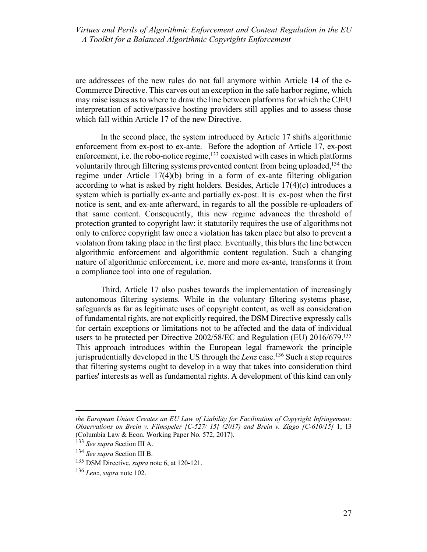are addressees of the new rules do not fall anymore within Article 14 of the e-Commerce Directive. This carves out an exception in the safe harbor regime, which may raise issues as to where to draw the line between platforms for which the CJEU interpretation of active/passive hosting providers still applies and to assess those which fall within Article 17 of the new Directive.

In the second place, the system introduced by Article 17 shifts algorithmic enforcement from ex-post to ex-ante. Before the adoption of Article 17, ex-post enforcement, i.e. the robo-notice regime, $133$  coexisted with cases in which platforms voluntarily through filtering systems prevented content from being uploaded,<sup>134</sup> the regime under Article 17(4)(b) bring in a form of ex-ante filtering obligation according to what is asked by right holders. Besides, Article 17(4)(c) introduces a system which is partially ex-ante and partially ex-post. It is ex-post when the first notice is sent, and ex-ante afterward, in regards to all the possible re-uploaders of that same content. Consequently, this new regime advances the threshold of protection granted to copyright law: it statutorily requires the use of algorithms not only to enforce copyright law once a violation has taken place but also to prevent a violation from taking place in the first place. Eventually, this blurs the line between algorithmic enforcement and algorithmic content regulation. Such a changing nature of algorithmic enforcement, i.e. more and more ex-ante, transforms it from a compliance tool into one of regulation.

Third, Article 17 also pushes towards the implementation of increasingly autonomous filtering systems. While in the voluntary filtering systems phase, safeguards as far as legitimate uses of copyright content, as well as consideration of fundamental rights, are not explicitly required, the DSM Directive expressly calls for certain exceptions or limitations not to be affected and the data of individual users to be protected per Directive 2002/58/EC and Regulation (EU) 2016/679.135 This approach introduces within the European legal framework the principle jurisprudentially developed in the US through the *Lenz* case.136 Such a step requires that filtering systems ought to develop in a way that takes into consideration third parties' interests as well as fundamental rights. A development of this kind can only

 $\overline{a}$ 

*the European Union Creates an EU Law of Liability for Facilitation of Copyright Infringement: Observations on Brein v. Filmspeler [C-527/ 15] (2017) and Brein v. Ziggo [C-610/15]* 1, 13 (Columbia Law & Econ. Working Paper No. 572, 2017).

<sup>133</sup> *See supra* Section III A.

<sup>134</sup> *See supra* Section III B.

<sup>135</sup> DSM Directive, *supra* note 6, at 120-121.

<sup>136</sup> *Lenz*, *supra* note 102.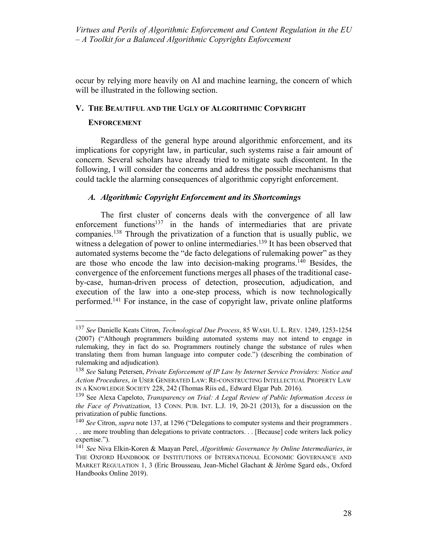occur by relying more heavily on AI and machine learning, the concern of which will be illustrated in the following section.

## **V. THE BEAUTIFUL AND THE UGLY OF ALGORITHMIC COPYRIGHT**

## **ENFORCEMENT**

Regardless of the general hype around algorithmic enforcement, and its implications for copyright law, in particular, such systems raise a fair amount of concern. Several scholars have already tried to mitigate such discontent. In the following, I will consider the concerns and address the possible mechanisms that could tackle the alarming consequences of algorithmic copyright enforcement.

## *A. Algorithmic Copyright Enforcement and its Shortcomings*

The first cluster of concerns deals with the convergence of all law enforcement functions<sup>137</sup> in the hands of intermediaries that are private companies.138 Through the privatization of a function that is usually public, we witness a delegation of power to online intermediaries.<sup>139</sup> It has been observed that automated systems become the "de facto delegations of rulemaking power" as they are those who encode the law into decision-making programs.140 Besides, the convergence of the enforcement functions merges all phases of the traditional caseby-case, human-driven process of detection, prosecution, adjudication, and execution of the law into a one-step process, which is now technologically performed.141 For instance, in the case of copyright law, private online platforms

 <sup>137</sup> *See* Danielle Keats Citron, *Technological Due Process*, 85 WASH. U. L. REV. 1249, 1253-1254 (2007) ("Although programmers building automated systems may not intend to engage in rulemaking, they in fact do so. Programmers routinely change the substance of rules when translating them from human language into computer code.") (describing the combination of rulemaking and adjudication).

<sup>138</sup> *See* Salung Petersen, *Private Enforcement of IP Law by Internet Service Providers: Notice and Action Procedures*, *in* USER GENERATED LAW: RE-CONSTRUCTING INTELLECTUAL PROPERTY LAW IN A KNOWLEDGE SOCIETY 228, 242 (Thomas Riis ed., Edward Elgar Pub. 2016).

<sup>139</sup> See Alexa Capeloto, *Transparency on Trial: A Legal Review of Public Information Access in the Face of Privatization*, 13 CONN. PUB. INT. L.J. 19, 20-21 (2013), for a discussion on the privatization of public functions.

<sup>140</sup> *See* Citron, *supra* note 137, at 1296 ("Delegations to computer systems and their programmers . . . are more troubling than delegations to private contractors. . . [Because] code writers lack policy expertise.").

<sup>141</sup> *See* Niva Elkin-Koren & Maayan Perel, *Algorithmic Governance by Online Intermediaries*, *in* THE OXFORD HANDBOOK OF INSTITUTIONS OF INTERNATIONAL ECONOMIC GOVERNANCE AND MARKET REGULATION 1, 3 (Eric Brousseau, Jean-Michel Glachant & Jérôme Sgard eds., Oxford Handbooks Online 2019).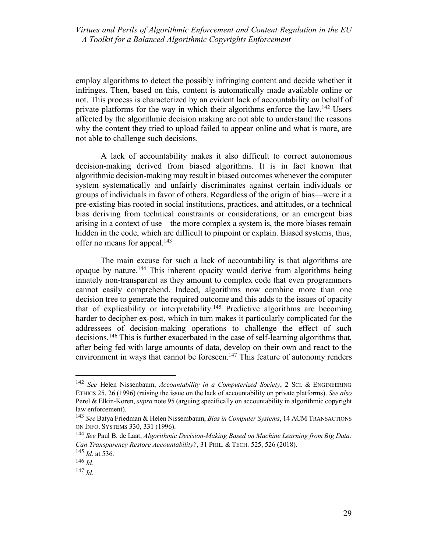employ algorithms to detect the possibly infringing content and decide whether it infringes. Then, based on this, content is automatically made available online or not. This process is characterized by an evident lack of accountability on behalf of private platforms for the way in which their algorithms enforce the law.<sup>142</sup> Users affected by the algorithmic decision making are not able to understand the reasons why the content they tried to upload failed to appear online and what is more, are not able to challenge such decisions.

A lack of accountability makes it also difficult to correct autonomous decision-making derived from biased algorithms. It is in fact known that algorithmic decision-making may result in biased outcomes whenever the computer system systematically and unfairly discriminates against certain individuals or groups of individuals in favor of others. Regardless of the origin of bias—were it a pre-existing bias rooted in social institutions, practices, and attitudes, or a technical bias deriving from technical constraints or considerations, or an emergent bias arising in a context of use—the more complex a system is, the more biases remain hidden in the code, which are difficult to pinpoint or explain. Biased systems, thus, offer no means for appeal.<sup>143</sup>

The main excuse for such a lack of accountability is that algorithms are opaque by nature.144 This inherent opacity would derive from algorithms being innately non-transparent as they amount to complex code that even programmers cannot easily comprehend. Indeed, algorithms now combine more than one decision tree to generate the required outcome and this adds to the issues of opacity that of explicability or interpretability.<sup>145</sup> Predictive algorithms are becoming harder to decipher ex-post, which in turn makes it particularly complicated for the addressees of decision-making operations to challenge the effect of such decisions.146 This is further exacerbated in the case of self-learning algorithms that, after being fed with large amounts of data, develop on their own and react to the environment in ways that cannot be foreseen.<sup>147</sup> This feature of autonomy renders

 <sup>142</sup> *See* Helen Nissenbaum, *Accountability in a Computerized Society*, 2 SCI. & ENGINEERING ETHICS 25, 26 (1996) (raising the issue on the lack of accountability on private platforms). *See also* Perel & Elkin-Koren, *supra* note 95 (arguing specifically on accountability in algorithmic copyright law enforcement).

<sup>143</sup> *See* Batya Friedman & Helen Nissembaum, *Bias in Computer Systems*, 14 ACM TRANSACTIONS ON INFO. SYSTEMS 330, 331 (1996).

<sup>144</sup> *See* Paul B. de Laat, *Algorithmic Decision-Making Based on Machine Learning from Big Data: Can Transparency Restore Accountability?*, 31 PHIL. & TECH. 525, 526 (2018).

<sup>145</sup> *Id.* at 536.

<sup>146</sup> *Id.* 

<sup>147</sup> *Id.*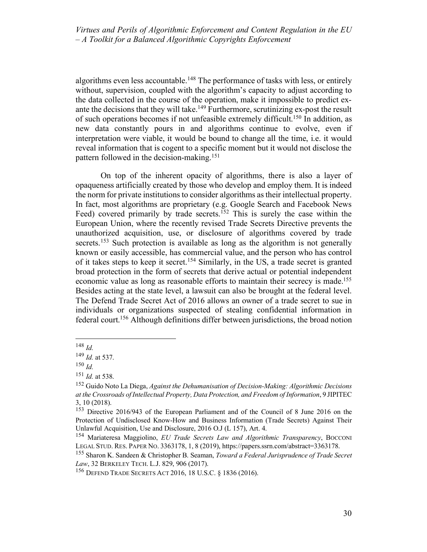algorithms even less accountable.<sup>148</sup> The performance of tasks with less, or entirely without, supervision, coupled with the algorithm's capacity to adjust according to the data collected in the course of the operation, make it impossible to predict exante the decisions that they will take.<sup>149</sup> Furthermore, scrutinizing ex-post the result of such operations becomes if not unfeasible extremely difficult. <sup>150</sup> In addition, as new data constantly pours in and algorithms continue to evolve, even if interpretation were viable, it would be bound to change all the time, i.e. it would reveal information that is cogent to a specific moment but it would not disclose the pattern followed in the decision-making.151

On top of the inherent opacity of algorithms, there is also a layer of opaqueness artificially created by those who develop and employ them. It is indeed the norm for private institutions to consider algorithms as their intellectual property. In fact, most algorithms are proprietary (e.g. Google Search and Facebook News Feed) covered primarily by trade secrets.<sup>152</sup> This is surely the case within the European Union, where the recently revised Trade Secrets Directive prevents the unauthorized acquisition, use, or disclosure of algorithms covered by trade secrets.<sup>153</sup> Such protection is available as long as the algorithm is not generally known or easily accessible, has commercial value, and the person who has control of it takes steps to keep it secret.154 Similarly, in the US, a trade secret is granted broad protection in the form of secrets that derive actual or potential independent economic value as long as reasonable efforts to maintain their secrecy is made.<sup>155</sup> Besides acting at the state level, a lawsuit can also be brought at the federal level. The Defend Trade Secret Act of 2016 allows an owner of a trade secret to sue in individuals or organizations suspected of stealing confidential information in federal court. <sup>156</sup> Although definitions differ between jurisdictions, the broad notion

 <sup>148</sup> *Id.*

<sup>149</sup> *Id.* at 537.

<sup>150</sup> *Id.*

<sup>151</sup> *Id.* at 538.

<sup>152</sup> Guido Noto La Diega, *Against the Dehumanisation of Decision-Making: Algorithmic Decisions at the Crossroads of Intellectual Property, Data Protection, and Freedom of Information*, 9 JIPITEC 3, 10 (2018).

<sup>153</sup> Directive 2016/943 of the European Parliament and of the Council of 8 June 2016 on the Protection of Undisclosed Know-How and Business Information (Trade Secrets) Against Their Unlawful Acquisition, Use and Disclosure, 2016 O.J (L 157), Art. 4.

<sup>154</sup> Mariateresa Maggiolino, *EU Trade Secrets Law and Algorithmic Transparency*, BOCCONI LEGAL STUD. RES. PAPER NO. 3363178, 1, 8 (2019), https://papers.ssrn.com/abstract=3363178.

<sup>155</sup> Sharon K. Sandeen & Christopher B. Seaman, *Toward a Federal Jurisprudence of Trade Secret Law*, 32 BERKELEY TECH. L.J. 829, 906 (2017).

<sup>156</sup> DEFEND TRADE SECRETS ACT 2016, 18 U.S.C. § 1836 (2016).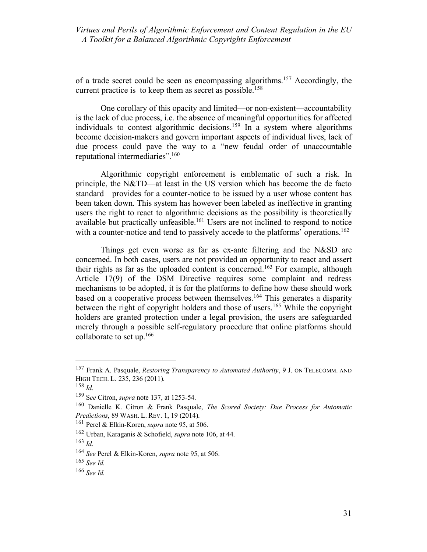of a trade secret could be seen as encompassing algorithms.157 Accordingly, the current practice is to keep them as secret as possible.<sup>158</sup>

One corollary of this opacity and limited—or non-existent—accountability is the lack of due process, i.e. the absence of meaningful opportunities for affected individuals to contest algorithmic decisions.159 In a system where algorithms become decision-makers and govern important aspects of individual lives, lack of due process could pave the way to a "new feudal order of unaccountable reputational intermediaries".160

Algorithmic copyright enforcement is emblematic of such a risk. In principle, the N&TD—at least in the US version which has become the de facto standard—provides for a counter-notice to be issued by a user whose content has been taken down. This system has however been labeled as ineffective in granting users the right to react to algorithmic decisions as the possibility is theoretically available but practically unfeasible.161 Users are not inclined to respond to notice with a counter-notice and tend to passively accede to the platforms' operations.<sup>162</sup>

Things get even worse as far as ex-ante filtering and the N&SD are concerned. In both cases, users are not provided an opportunity to react and assert their rights as far as the uploaded content is concerned.<sup>163</sup> For example, although Article 17(9) of the DSM Directive requires some complaint and redress mechanisms to be adopted, it is for the platforms to define how these should work based on a cooperative process between themselves.<sup>164</sup> This generates a disparity between the right of copyright holders and those of users.<sup>165</sup> While the copyright holders are granted protection under a legal provision, the users are safeguarded merely through a possible self-regulatory procedure that online platforms should collaborate to set up.166

 <sup>157</sup> Frank A. Pasquale, *Restoring Transparency to Automated Authority*, 9 J. ON TELECOMM. AND HIGH TECH. L. 235, 236 (2011).

<sup>158</sup> *Id.*

<sup>159</sup> S*ee* Citron, *supra* note 137, at 1253-54.

<sup>160</sup> Danielle K. Citron & Frank Pasquale, *The Scored Society: Due Process for Automatic Predictions*, 89 WASH. L. REV. 1, 19 (2014).

<sup>161</sup> Perel & Elkin-Koren, *supra* note 95, at 506.

<sup>162</sup> Urban, Karaganis & Schofield, *supra* note 106, at 44.

<sup>163</sup> *Id.*

<sup>164</sup> *See* Perel & Elkin-Koren, *supra* note 95, at 506.

<sup>165</sup> *See Id.*

<sup>166</sup> *See Id.*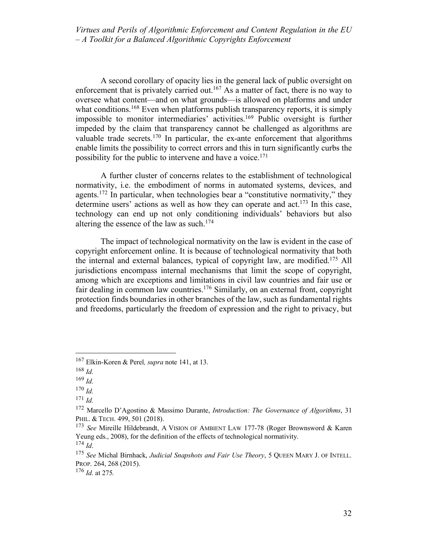A second corollary of opacity lies in the general lack of public oversight on enforcement that is privately carried out.<sup>167</sup> As a matter of fact, there is no way to oversee what content—and on what grounds—is allowed on platforms and under what conditions.<sup>168</sup> Even when platforms publish transparency reports, it is simply impossible to monitor intermediaries' activities.<sup>169</sup> Public oversight is further impeded by the claim that transparency cannot be challenged as algorithms are valuable trade secrets.170 In particular, the ex-ante enforcement that algorithms enable limits the possibility to correct errors and this in turn significantly curbs the possibility for the public to intervene and have a voice.<sup>171</sup>

A further cluster of concerns relates to the establishment of technological normativity, i.e. the embodiment of norms in automated systems, devices, and agents.<sup>172</sup> In particular, when technologies bear a "constitutive normativity," they determine users' actions as well as how they can operate and  $act^{173}$  In this case, technology can end up not only conditioning individuals' behaviors but also altering the essence of the law as such.<sup>174</sup>

The impact of technological normativity on the law is evident in the case of copyright enforcement online. It is because of technological normativity that both the internal and external balances, typical of copyright law, are modified.175 All jurisdictions encompass internal mechanisms that limit the scope of copyright, among which are exceptions and limitations in civil law countries and fair use or fair dealing in common law countries.176 Similarly, on an external front, copyright protection finds boundaries in other branches of the law, such as fundamental rights and freedoms, particularly the freedom of expression and the right to privacy, but

 <sup>167</sup> Elkin-Koren & Perel*, supra* note 141, at 13.

<sup>168</sup> *Id.*

<sup>169</sup> *Id.*

<sup>170</sup> *Id.*

<sup>171</sup> *Id.*

<sup>172</sup> Marcello D'Agostino & Massimo Durante, *Introduction: The Governance of Algorithms*, 31 PHIL. & TECH. 499, 501 (2018).

<sup>173</sup> *See* Mireille Hildebrandt, A VISION OF AMBIENT LAW 177-78 (Roger Brownsword & Karen Yeung eds., 2008), for the definition of the effects of technological normativity.

 $^{174}$  *Id.* 

<sup>175</sup> *See* Michal Birnhack, *Judicial Snapshots and Fair Use Theory*, 5 QUEEN MARY J. OF INTELL. PROP. 264, 268 (2015).

<sup>176</sup> *Id.* at 275*.*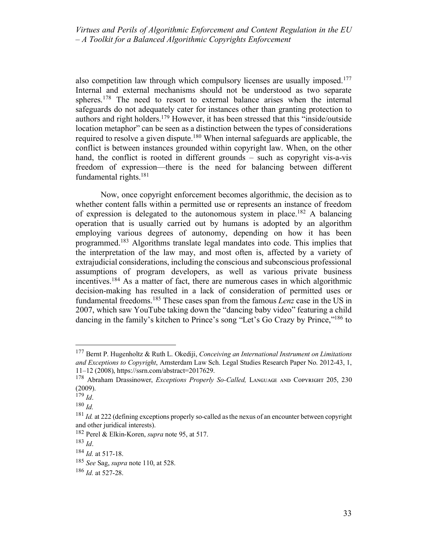also competition law through which compulsory licenses are usually imposed.<sup>177</sup> Internal and external mechanisms should not be understood as two separate spheres.<sup>178</sup> The need to resort to external balance arises when the internal safeguards do not adequately cater for instances other than granting protection to authors and right holders.179 However, it has been stressed that this "inside/outside location metaphor" can be seen as a distinction between the types of considerations required to resolve a given dispute.180 When internal safeguards are applicable, the conflict is between instances grounded within copyright law. When, on the other hand, the conflict is rooted in different grounds – such as copyright vis-a-vis freedom of expression—there is the need for balancing between different fundamental rights.181

Now, once copyright enforcement becomes algorithmic, the decision as to whether content falls within a permitted use or represents an instance of freedom of expression is delegated to the autonomous system in place.<sup>182</sup> A balancing operation that is usually carried out by humans is adopted by an algorithm employing various degrees of autonomy, depending on how it has been programmed.183 Algorithms translate legal mandates into code. This implies that the interpretation of the law may, and most often is, affected by a variety of extrajudicial considerations, including the conscious and subconscious professional assumptions of program developers, as well as various private business incentives.184 As a matter of fact, there are numerous cases in which algorithmic decision-making has resulted in a lack of consideration of permitted uses or fundamental freedoms.185 These cases span from the famous *Lenz* case in the US in 2007, which saw YouTube taking down the "dancing baby video" featuring a child dancing in the family's kitchen to Prince's song "Let's Go Crazy by Prince,"186 to

 <sup>177</sup> Bernt P. Hugenholtz & Ruth L. Okediji, *Conceiving an International Instrument on Limitations and Exceptions to Copyright*, Amsterdam Law Sch. Legal Studies Research Paper No. 2012-43, 1, 11–12 (2008), https://ssrn.com/abstract=2017629.

<sup>&</sup>lt;sup>178</sup> Abraham Drassinower, *Exceptions Properly So-Called*, LANGUAGE AND COPYRIGHT 205, 230 (2009).

 $^{179}$  *Id.* 

<sup>180</sup> *Id.*

<sup>&</sup>lt;sup>181</sup> *Id.* at 222 (defining exceptions properly so-called as the nexus of an encounter between copyright and other juridical interests).

<sup>182</sup> Perel & Elkin-Koren, *supra* note 95, at 517.

<sup>183</sup> *Id*.

<sup>184</sup> *Id.* at 517-18.

<sup>185</sup> *See* Sag, *supra* note 110, at 528.

<sup>186</sup> *Id.* at 527-28.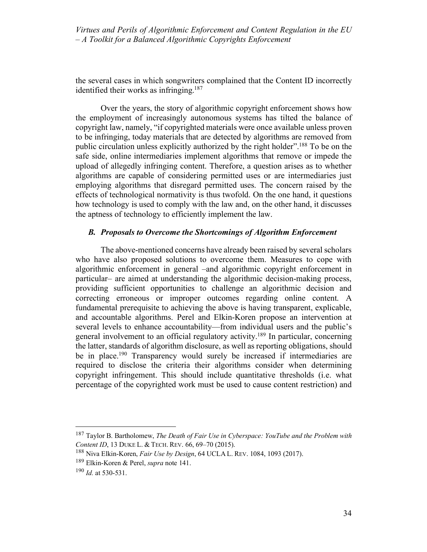the several cases in which songwriters complained that the Content ID incorrectly identified their works as infringing.<sup>187</sup>

Over the years, the story of algorithmic copyright enforcement shows how the employment of increasingly autonomous systems has tilted the balance of copyright law, namely, "if copyrighted materials were once available unless proven to be infringing, today materials that are detected by algorithms are removed from public circulation unless explicitly authorized by the right holder".188 To be on the safe side, online intermediaries implement algorithms that remove or impede the upload of allegedly infringing content. Therefore, a question arises as to whether algorithms are capable of considering permitted uses or are intermediaries just employing algorithms that disregard permitted uses. The concern raised by the effects of technological normativity is thus twofold. On the one hand, it questions how technology is used to comply with the law and, on the other hand, it discusses the aptness of technology to efficiently implement the law.

#### *B. Proposals to Overcome the Shortcomings of Algorithm Enforcement*

The above-mentioned concerns have already been raised by several scholars who have also proposed solutions to overcome them. Measures to cope with algorithmic enforcement in general –and algorithmic copyright enforcement in particular– are aimed at understanding the algorithmic decision-making process, providing sufficient opportunities to challenge an algorithmic decision and correcting erroneous or improper outcomes regarding online content. A fundamental prerequisite to achieving the above is having transparent, explicable, and accountable algorithms. Perel and Elkin-Koren propose an intervention at several levels to enhance accountability—from individual users and the public's general involvement to an official regulatory activity.189 In particular, concerning the latter, standards of algorithm disclosure, as well as reporting obligations, should be in place.<sup>190</sup> Transparency would surely be increased if intermediaries are required to disclose the criteria their algorithms consider when determining copyright infringement. This should include quantitative thresholds (i.e. what percentage of the copyrighted work must be used to cause content restriction) and

 <sup>187</sup> Taylor B. Bartholomew, *The Death of Fair Use in Cyberspace: YouTube and the Problem with Content ID*, 13 DUKE L. & TECH. REV. 66, 69–70 (2015).

<sup>188</sup> Niva Elkin-Koren, *Fair Use by Design*, 64 UCLA L. REV. 1084, 1093 (2017).

<sup>189</sup> Elkin-Koren & Perel, *supra* note 141.

<sup>190</sup> *Id.* at 530-531.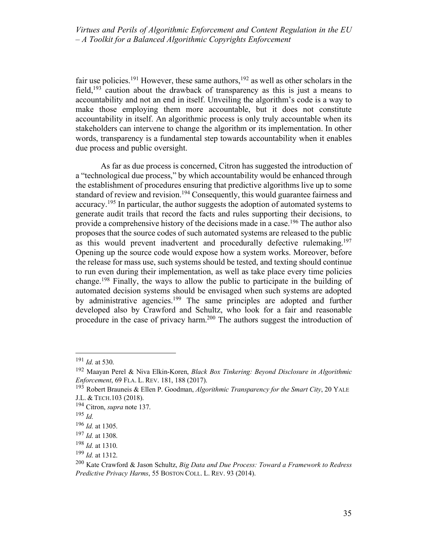fair use policies.<sup>191</sup> However, these same authors,<sup>192</sup> as well as other scholars in the field,<sup>193</sup> caution about the drawback of transparency as this is just a means to accountability and not an end in itself. Unveiling the algorithm's code is a way to make those employing them more accountable, but it does not constitute accountability in itself. An algorithmic process is only truly accountable when its stakeholders can intervene to change the algorithm or its implementation. In other words, transparency is a fundamental step towards accountability when it enables due process and public oversight.

As far as due process is concerned, Citron has suggested the introduction of a "technological due process," by which accountability would be enhanced through the establishment of procedures ensuring that predictive algorithms live up to some standard of review and revision.<sup>194</sup> Consequently, this would guarantee fairness and accuracy.195 In particular, the author suggests the adoption of automated systems to generate audit trails that record the facts and rules supporting their decisions, to provide a comprehensive history of the decisions made in a case.<sup>196</sup> The author also proposes that the source codes of such automated systems are released to the public as this would prevent inadvertent and procedurally defective rulemaking.197 Opening up the source code would expose how a system works. Moreover, before the release for mass use, such systems should be tested, and texting should continue to run even during their implementation, as well as take place every time policies change.198 Finally, the ways to allow the public to participate in the building of automated decision systems should be envisaged when such systems are adopted by administrative agencies.199 The same principles are adopted and further developed also by Crawford and Schultz, who look for a fair and reasonable procedure in the case of privacy harm.200 The authors suggest the introduction of

 <sup>191</sup> *Id.* at 530.

<sup>192</sup> Maayan Perel & Niva Elkin-Koren, *Black Box Tinkering: Beyond Disclosure in Algorithmic Enforcement*, 69 FLA. L. REV. 181, 188 (2017).

<sup>193</sup> Robert Brauneis & Ellen P. Goodman, *Algorithmic Transparency for the Smart City*, 20 YALE J.L. & TECH.103 (2018).

<sup>194</sup> Citron, *supra* note 137.

<sup>195</sup> *Id.*

<sup>196</sup> *Id.* at 1305.

<sup>197</sup> *Id.* at 1308.

<sup>198</sup> *Id.* at 1310.

<sup>199</sup> *Id.* at 1312.

<sup>200</sup> Kate Crawford & Jason Schultz, *Big Data and Due Process: Toward a Framework to Redress Predictive Privacy Harms*, 55 BOSTON COLL. L. REV. 93 (2014).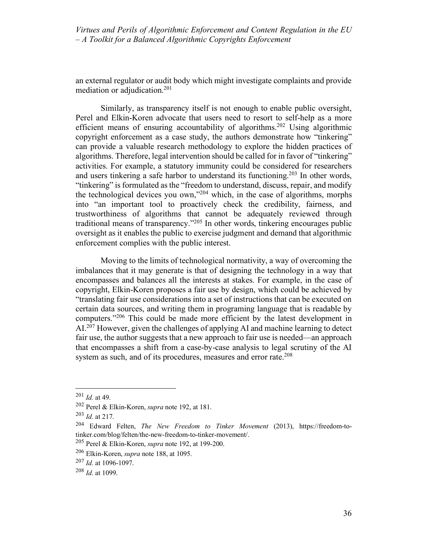an external regulator or audit body which might investigate complaints and provide mediation or adjudication.<sup>201</sup>

Similarly, as transparency itself is not enough to enable public oversight, Perel and Elkin-Koren advocate that users need to resort to self-help as a more efficient means of ensuring accountability of algorithms.202 Using algorithmic copyright enforcement as a case study, the authors demonstrate how "tinkering" can provide a valuable research methodology to explore the hidden practices of algorithms. Therefore, legal intervention should be called for in favor of "tinkering" activities. For example, a statutory immunity could be considered for researchers and users tinkering a safe harbor to understand its functioning. <sup>203</sup> In other words, "tinkering" is formulated as the "freedom to understand, discuss, repair, and modify the technological devices you own,"204 which, in the case of algorithms, morphs into "an important tool to proactively check the credibility, fairness, and trustworthiness of algorithms that cannot be adequately reviewed through traditional means of transparency."205 In other words, tinkering encourages public oversight as it enables the public to exercise judgment and demand that algorithmic enforcement complies with the public interest.

Moving to the limits of technological normativity, a way of overcoming the imbalances that it may generate is that of designing the technology in a way that encompasses and balances all the interests at stakes. For example, in the case of copyright, Elkin-Koren proposes a fair use by design, which could be achieved by "translating fair use considerations into a set of instructions that can be executed on certain data sources, and writing them in programing language that is readable by computers."206 This could be made more efficient by the latest development in AI.207 However, given the challenges of applying AI and machine learning to detect fair use, the author suggests that a new approach to fair use is needed—an approach that encompasses a shift from a case-by-case analysis to legal scrutiny of the AI system as such, and of its procedures, measures and error rate.<sup>208</sup>

 <sup>201</sup> *Id.* at 49.

<sup>202</sup> Perel & Elkin-Koren, *supra* note 192, at 181.

<sup>203</sup> *Id.* at 217.

<sup>204</sup> Edward Felten, *The New Freedom to Tinker Movement* (2013), https://freedom-totinker.com/blog/felten/the-new-freedom-to-tinker-movement/.

<sup>205</sup> Perel & Elkin-Koren, *supra* note 192, at 199-200.

<sup>206</sup> Elkin-Koren, *supra* note 188, at 1095.

<sup>207</sup> *Id.* at 1096-1097.

<sup>208</sup> *Id.* at 1099.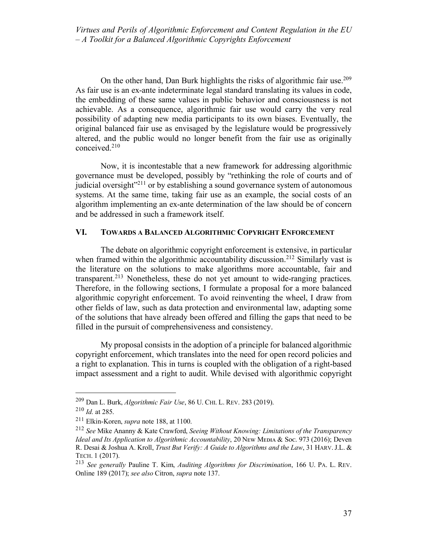On the other hand, Dan Burk highlights the risks of algorithmic fair use.<sup>209</sup> As fair use is an ex-ante indeterminate legal standard translating its values in code, the embedding of these same values in public behavior and consciousness is not achievable. As a consequence, algorithmic fair use would carry the very real possibility of adapting new media participants to its own biases. Eventually, the original balanced fair use as envisaged by the legislature would be progressively altered, and the public would no longer benefit from the fair use as originally conceived.210

Now, it is incontestable that a new framework for addressing algorithmic governance must be developed, possibly by "rethinking the role of courts and of judicial oversight<sup>"211</sup> or by establishing a sound governance system of autonomous systems. At the same time, taking fair use as an example, the social costs of an algorithm implementing an ex-ante determination of the law should be of concern and be addressed in such a framework itself.

## **VI. TOWARDS A BALANCED ALGORITHMIC COPYRIGHT ENFORCEMENT**

The debate on algorithmic copyright enforcement is extensive, in particular when framed within the algorithmic accountability discussion.<sup>212</sup> Similarly vast is the literature on the solutions to make algorithms more accountable, fair and transparent.213 Nonetheless, these do not yet amount to wide-ranging practices. Therefore, in the following sections, I formulate a proposal for a more balanced algorithmic copyright enforcement. To avoid reinventing the wheel, I draw from other fields of law, such as data protection and environmental law, adapting some of the solutions that have already been offered and filling the gaps that need to be filled in the pursuit of comprehensiveness and consistency.

My proposal consists in the adoption of a principle for balanced algorithmic copyright enforcement, which translates into the need for open record policies and a right to explanation. This in turns is coupled with the obligation of a right-based impact assessment and a right to audit. While devised with algorithmic copyright

 <sup>209</sup> Dan L. Burk, *Algorithmic Fair Use*, 86 U. CHI. L. REV. 283 (2019).

<sup>210</sup> *Id.* at 285.

<sup>211</sup> Elkin-Koren, *supra* note 188, at 1100.

<sup>212</sup> *See* Mike Ananny & Kate Crawford, *Seeing Without Knowing: Limitations of the Transparency Ideal and Its Application to Algorithmic Accountability*, 20 NEW MEDIA & Soc. 973 (2016); Deven R. Desai & Joshua A. Kroll, *Trust But Verify: A Guide to Algorithms and the Law*, 31 HARV.J.L. & TECH. 1 (2017).

<sup>213</sup> *See generally* Pauline T. Kim, *Auditing Algorithms for Discrimination*, 166 U. PA. L. REV. Online 189 (2017); *see also* Citron, *supra* note 137.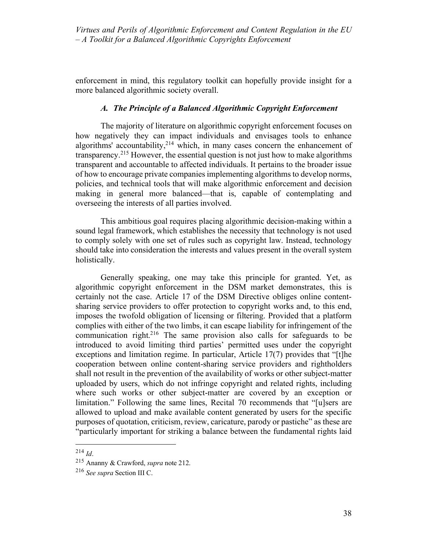enforcement in mind, this regulatory toolkit can hopefully provide insight for a more balanced algorithmic society overall.

## *A. The Principle of a Balanced Algorithmic Copyright Enforcement*

The majority of literature on algorithmic copyright enforcement focuses on how negatively they can impact individuals and envisages tools to enhance algorithms' accountability, $2^{14}$  which, in many cases concern the enhancement of transparency.215 However, the essential question is not just how to make algorithms transparent and accountable to affected individuals. It pertains to the broader issue of how to encourage private companies implementing algorithms to develop norms, policies, and technical tools that will make algorithmic enforcement and decision making in general more balanced—that is, capable of contemplating and overseeing the interests of all parties involved.

This ambitious goal requires placing algorithmic decision-making within a sound legal framework, which establishes the necessity that technology is not used to comply solely with one set of rules such as copyright law. Instead, technology should take into consideration the interests and values present in the overall system holistically.

Generally speaking, one may take this principle for granted. Yet, as algorithmic copyright enforcement in the DSM market demonstrates, this is certainly not the case. Article 17 of the DSM Directive obliges online contentsharing service providers to offer protection to copyright works and, to this end, imposes the twofold obligation of licensing or filtering. Provided that a platform complies with either of the two limbs, it can escape liability for infringement of the communication right.<sup>216</sup> The same provision also calls for safeguards to be introduced to avoid limiting third parties' permitted uses under the copyright exceptions and limitation regime. In particular, Article 17(7) provides that "[t]he cooperation between online content-sharing service providers and rightholders shall not result in the prevention of the availability of works or other subject-matter uploaded by users, which do not infringe copyright and related rights, including where such works or other subject-matter are covered by an exception or limitation." Following the same lines, Recital 70 recommends that "[u]sers are allowed to upload and make available content generated by users for the specific purposes of quotation, criticism, review, caricature, parody or pastiche" as these are "particularly important for striking a balance between the fundamental rights laid

 <sup>214</sup> *Id*.

<sup>215</sup> Ananny & Crawford, *supra* note 212.

<sup>216</sup> *See supra* Section III C.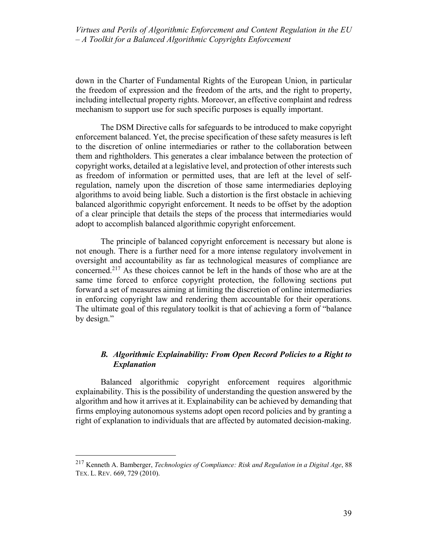down in the Charter of Fundamental Rights of the European Union, in particular the freedom of expression and the freedom of the arts, and the right to property, including intellectual property rights. Moreover, an effective complaint and redress mechanism to support use for such specific purposes is equally important.

The DSM Directive calls for safeguards to be introduced to make copyright enforcement balanced. Yet, the precise specification of these safety measures is left to the discretion of online intermediaries or rather to the collaboration between them and rightholders. This generates a clear imbalance between the protection of copyright works, detailed at a legislative level, and protection of other interests such as freedom of information or permitted uses, that are left at the level of selfregulation, namely upon the discretion of those same intermediaries deploying algorithms to avoid being liable. Such a distortion is the first obstacle in achieving balanced algorithmic copyright enforcement. It needs to be offset by the adoption of a clear principle that details the steps of the process that intermediaries would adopt to accomplish balanced algorithmic copyright enforcement.

The principle of balanced copyright enforcement is necessary but alone is not enough. There is a further need for a more intense regulatory involvement in oversight and accountability as far as technological measures of compliance are concerned.217 As these choices cannot be left in the hands of those who are at the same time forced to enforce copyright protection, the following sections put forward a set of measures aiming at limiting the discretion of online intermediaries in enforcing copyright law and rendering them accountable for their operations. The ultimate goal of this regulatory toolkit is that of achieving a form of "balance by design."

# *B. Algorithmic Explainability: From Open Record Policies to a Right to Explanation*

Balanced algorithmic copyright enforcement requires algorithmic explainability. This is the possibility of understanding the question answered by the algorithm and how it arrives at it. Explainability can be achieved by demanding that firms employing autonomous systems adopt open record policies and by granting a right of explanation to individuals that are affected by automated decision-making.

 <sup>217</sup> Kenneth A. Bamberger, *Technologies of Compliance: Risk and Regulation in a Digital Age*, 88 TEX. L. REV. 669, 729 (2010).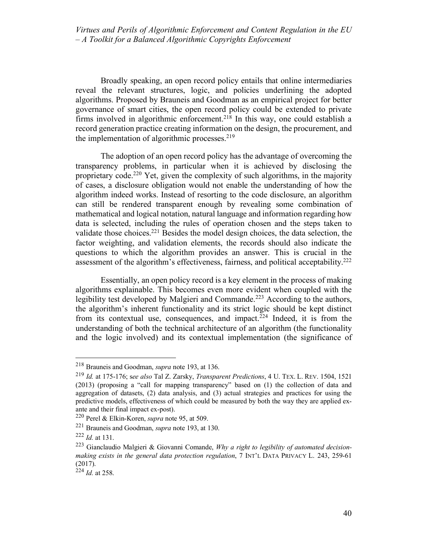Broadly speaking, an open record policy entails that online intermediaries reveal the relevant structures, logic, and policies underlining the adopted algorithms. Proposed by Brauneis and Goodman as an empirical project for better governance of smart cities, the open record policy could be extended to private firms involved in algorithmic enforcement.<sup>218</sup> In this way, one could establish a record generation practice creating information on the design, the procurement, and the implementation of algorithmic processes. $219$ 

The adoption of an open record policy has the advantage of overcoming the transparency problems, in particular when it is achieved by disclosing the proprietary code.<sup>220</sup> Yet, given the complexity of such algorithms, in the majority of cases, a disclosure obligation would not enable the understanding of how the algorithm indeed works. Instead of resorting to the code disclosure, an algorithm can still be rendered transparent enough by revealing some combination of mathematical and logical notation, natural language and information regarding how data is selected, including the rules of operation chosen and the steps taken to validate those choices.221 Besides the model design choices, the data selection, the factor weighting, and validation elements, the records should also indicate the questions to which the algorithm provides an answer. This is crucial in the assessment of the algorithm's effectiveness, fairness, and political acceptability.<sup>222</sup>

Essentially, an open policy record is a key element in the process of making algorithms explainable. This becomes even more evident when coupled with the legibility test developed by Malgieri and Commande.<sup>223</sup> According to the authors, the algorithm's inherent functionality and its strict logic should be kept distinct from its contextual use, consequences, and impact. $224$  Indeed, it is from the understanding of both the technical architecture of an algorithm (the functionality and the logic involved) and its contextual implementation (the significance of

 <sup>218</sup> Brauneis and Goodman, *supra* note 193, at 136.

<sup>219</sup> *Id.* at 175-176; s*ee also* Tal Z. Zarsky, *Transparent Predictions*, 4 U. TEX. L. REV. 1504, 1521 (2013) (proposing a "call for mapping transparency" based on (1) the collection of data and aggregation of datasets, (2) data analysis, and (3) actual strategies and practices for using the predictive models, effectiveness of which could be measured by both the way they are applied exante and their final impact ex-post).

<sup>220</sup> Perel & Elkin-Koren, *supra* note 95, at 509.

<sup>221</sup> Brauneis and Goodman, *supra* note 193, at 130.

<sup>222</sup> *Id.* at 131.

<sup>223</sup> Gianclaudio Malgieri & Giovanni Comande, *Why a right to legibility of automated decisionmaking exists in the general data protection regulation*, 7 INT'L DATA PRIVACY L. 243, 259-61 (2017).

<sup>224</sup> *Id.* at 258.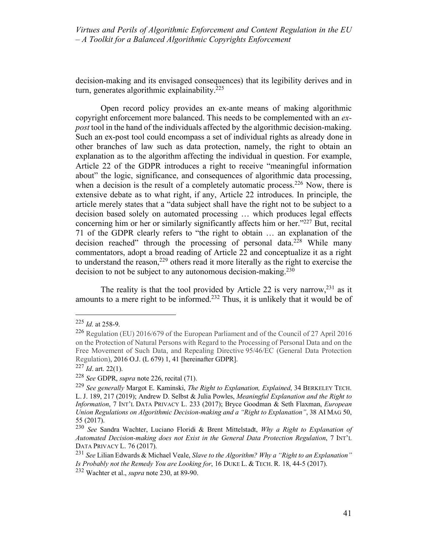decision-making and its envisaged consequences) that its legibility derives and in turn, generates algorithmic explainability.<sup>225</sup>

Open record policy provides an ex-ante means of making algorithmic copyright enforcement more balanced. This needs to be complemented with an *expost* tool in the hand of the individuals affected by the algorithmic decision-making. Such an ex-post tool could encompass a set of individual rights as already done in other branches of law such as data protection, namely, the right to obtain an explanation as to the algorithm affecting the individual in question. For example, Article 22 of the GDPR introduces a right to receive "meaningful information about" the logic, significance, and consequences of algorithmic data processing, when a decision is the result of a completely automatic process.<sup>226</sup> Now, there is extensive debate as to what right, if any, Article 22 introduces. In principle, the article merely states that a "data subject shall have the right not to be subject to a decision based solely on automated processing … which produces legal effects concerning him or her or similarly significantly affects him or her."227 But, recital 71 of the GDPR clearly refers to "the right to obtain … an explanation of the decision reached" through the processing of personal data.<sup>228</sup> While many commentators, adopt a broad reading of Article 22 and conceptualize it as a right to understand the reason,<sup>229</sup> others read it more literally as the right to exercise the decision to not be subject to any autonomous decision-making.<sup>230</sup>

The reality is that the tool provided by Article 22 is very narrow,  $2^{31}$  as it amounts to a mere right to be informed.<sup>232</sup> Thus, it is unlikely that it would be of

 <sup>225</sup> *Id.* at 258-9.

<sup>226</sup> Regulation (EU) 2016/679 of the European Parliament and of the Council of 27 April 2016 on the Protection of Natural Persons with Regard to the Processing of Personal Data and on the Free Movement of Such Data, and Repealing Directive 95/46/EC (General Data Protection Regulation), 2016 O.J. (L 679) 1, 41 [hereinafter GDPR].

 $227$  *Id.* art. 22(1).

<sup>228</sup> *See* GDPR, *supra* note 226, recital (71).

<sup>229</sup> *See generally* Margot E. Kaminski, *The Right to Explanation, Explained*, 34 BERKELEY TECH. L. J. 189, 217 (2019); Andrew D. Selbst & Julia Powles, *Meaningful Explanation and the Right to Information*, 7 INT'L DATA PRIVACY L. 233 (2017); Bryce Goodman & Seth Flaxman, *European Union Regulations on Algorithmic Decision-making and a "Right to Explanation"*, 38 AI MAG 50, 55 (2017).

<sup>230</sup> *See* Sandra Wachter, Luciano Floridi & Brent Mittelstadt, *Why a Right to Explanation of Automated Decision-making does not Exist in the General Data Protection Regulation*, 7 INT'L DATA PRIVACY L. 76 (2017).

<sup>231</sup> *See* Lilian Edwards & Michael Veale, *Slave to the Algorithm? Why a "Right to an Explanation" Is Probably not the Remedy You are Looking for*, 16 DUKE L. & TECH. R. 18, 44-5 (2017).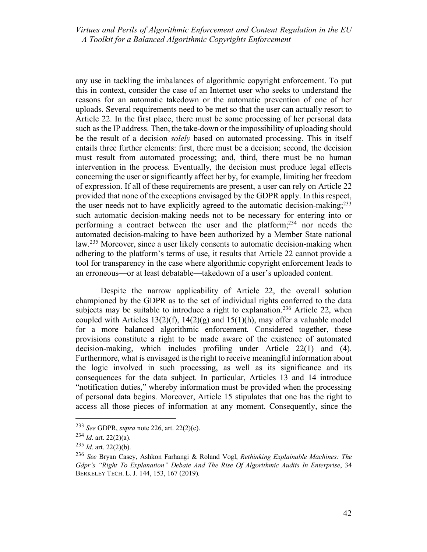any use in tackling the imbalances of algorithmic copyright enforcement. To put this in context, consider the case of an Internet user who seeks to understand the reasons for an automatic takedown or the automatic prevention of one of her uploads. Several requirements need to be met so that the user can actually resort to Article 22. In the first place, there must be some processing of her personal data such as the IP address. Then, the take-down or the impossibility of uploading should be the result of a decision *solely* based on automated processing. This in itself entails three further elements: first, there must be a decision; second, the decision must result from automated processing; and, third, there must be no human intervention in the process. Eventually, the decision must produce legal effects concerning the user or significantly affect her by, for example, limiting her freedom of expression. If all of these requirements are present, a user can rely on Article 22 provided that none of the exceptions envisaged by the GDPR apply. In this respect, the user needs not to have explicitly agreed to the automatic decision-making; $233$ such automatic decision-making needs not to be necessary for entering into or performing a contract between the user and the platform; <sup>234</sup> nor needs the automated decision-making to have been authorized by a Member State national law.<sup>235</sup> Moreover, since a user likely consents to automatic decision-making when adhering to the platform's terms of use, it results that Article 22 cannot provide a tool for transparency in the case where algorithmic copyright enforcement leads to an erroneous—or at least debatable—takedown of a user's uploaded content.

Despite the narrow applicability of Article 22, the overall solution championed by the GDPR as to the set of individual rights conferred to the data subjects may be suitable to introduce a right to explanation.<sup>236</sup> Article 22, when coupled with Articles 13(2)(f), 14(2)(g) and 15(1)(h), may offer a valuable model for a more balanced algorithmic enforcement. Considered together, these provisions constitute a right to be made aware of the existence of automated decision-making, which includes profiling under Article 22(1) and (4). Furthermore, what is envisaged is the right to receive meaningful information about the logic involved in such processing, as well as its significance and its consequences for the data subject. In particular, Articles 13 and 14 introduce "notification duties," whereby information must be provided when the processing of personal data begins. Moreover, Article 15 stipulates that one has the right to access all those pieces of information at any moment. Consequently, since the

 <sup>233</sup> *See* GDPR, *supra* note 226, art. 22(2)(c).

 $^{234}$  *Id.* art. 22(2)(a).

 $^{235}$  *Id.* art. 22(2)(b).

<sup>236</sup> *See* Bryan Casey, Ashkon Farhangi & Roland Vogl, *Rethinking Explainable Machines: The Gdpr's "Right To Explanation" Debate And The Rise Of Algorithmic Audits In Enterprise*, 34 BERKELEY TECH. L. J. 144, 153, 167 (2019).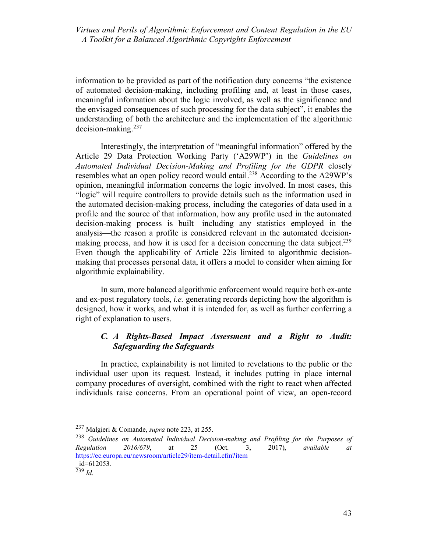information to be provided as part of the notification duty concerns "the existence of automated decision-making, including profiling and, at least in those cases, meaningful information about the logic involved, as well as the significance and the envisaged consequences of such processing for the data subject", it enables the understanding of both the architecture and the implementation of the algorithmic decision-making.237

Interestingly, the interpretation of "meaningful information" offered by the Article 29 Data Protection Working Party ('A29WP') in the *Guidelines on Automated Individual Decision-Making and Profiling for the GDPR* closely resembles what an open policy record would entail.238 According to the A29WP's opinion, meaningful information concerns the logic involved. In most cases, this "logic" will require controllers to provide details such as the information used in the automated decision-making process, including the categories of data used in a profile and the source of that information, how any profile used in the automated decision-making process is built—including any statistics employed in the analysis—the reason a profile is considered relevant in the automated decisionmaking process, and how it is used for a decision concerning the data subject.<sup>239</sup> Even though the applicability of Article 22is limited to algorithmic decisionmaking that processes personal data, it offers a model to consider when aiming for algorithmic explainability.

In sum, more balanced algorithmic enforcement would require both ex-ante and ex-post regulatory tools, *i.e.* generating records depicting how the algorithm is designed, how it works, and what it is intended for, as well as further conferring a right of explanation to users.

# *C. A Rights-Based Impact Assessment and a Right to Audit: Safeguarding the Safeguards*

In practice, explainability is not limited to revelations to the public or the individual user upon its request. Instead, it includes putting in place internal company procedures of oversight, combined with the right to react when affected individuals raise concerns. From an operational point of view, an open-record

 <sup>237</sup> Malgieri & Comande, *supra* note 223, at 255.

<sup>238</sup> *Guidelines on Automated Individual Decision-making and Profiling for the Purposes of Regulation 2016/679*, at 25 (Oct. 3, 2017), *available at* https://ec.europa.eu/newsroom/article29/item-detail.cfm?item

\_id=612053.

<sup>239</sup> *Id.*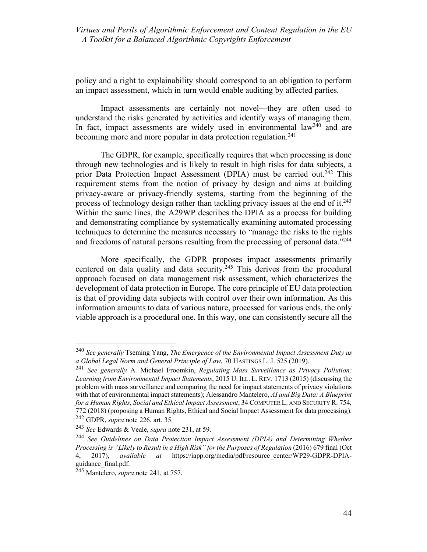policy and a right to explainability should correspond to an obligation to perform an impact assessment, which in turn would enable auditing by affected parties.

Impact assessments are certainly not novel—they are often used to understand the risks generated by activities and identify ways of managing them. In fact, impact assessments are widely used in environmental  $law<sup>240</sup>$  and are becoming more and more popular in data protection regulation.<sup>241</sup>

The GDPR, for example, specifically requires that when processing is done through new technologies and is likely to result in high risks for data subjects, a prior Data Protection Impact Assessment (DPIA) must be carried out.<sup>242</sup> This requirement stems from the notion of privacy by design and aims at building privacy-aware or privacy-friendly systems, starting from the beginning of the process of technology design rather than tackling privacy issues at the end of it.<sup>243</sup> Within the same lines, the A29WP describes the DPIA as a process for building and demonstrating compliance by systematically examining automated processing techniques to determine the measures necessary to "manage the risks to the rights and freedoms of natural persons resulting from the processing of personal data."<sup>244</sup>

More specifically, the GDPR proposes impact assessments primarily centered on data quality and data security.245 This derives from the procedural approach focused on data management risk assessment, which characterizes the development of data protection in Europe. The core principle of EU data protection is that of providing data subjects with control over their own information. As this information amounts to data of various nature, processed for various ends, the only viable approach is a procedural one. In this way, one can consistently secure all the

 <sup>240</sup> *See generally* Tseming Yang, *The Emergence of the Environmental Impact Assessment Duty as a Global Legal Norm and General Principle of Law*, 70 HASTINGS L. J. 525 (2019).

<sup>241</sup> *See generally* A. Michael Froomkin, *Regulating Mass Surveillance as Privacy Pollution: Learning from Environmental Impact Statements*, 2015 U. ILL. L. REV. 1713 (2015) (discussing the problem with mass surveillance and comparing the need for impact statements of privacy violations with that of environmental impact statements); Alessandro Mantelero, *AI and Big Data: A Blueprint for a Human Rights, Social and Ethical Impact Assessment*, 34 COMPUTER L. AND SECURITY R. 754, 772 (2018) (proposing a Human Rights, Ethical and Social Impact Assessment for data processing). <sup>242</sup> GDPR, *supra* note 226, art. 35.

<sup>243</sup> *See* Edwards & Veale, *supra* note 231, at 59.

<sup>244</sup> *See Guidelines on Data Protection Impact Assessment (DPIA) and Determining Whether Processing is "Likely to Result in a High Risk" for the Purposes of Regulation* (2016) 679 final (Oct 4, 2017), *available at* https://iapp.org/media/pdf/resource\_center/WP29-GDPR-DPIAguidance\_final.pdf.

<sup>245</sup> Mantelero, *supra* note 241, at 757.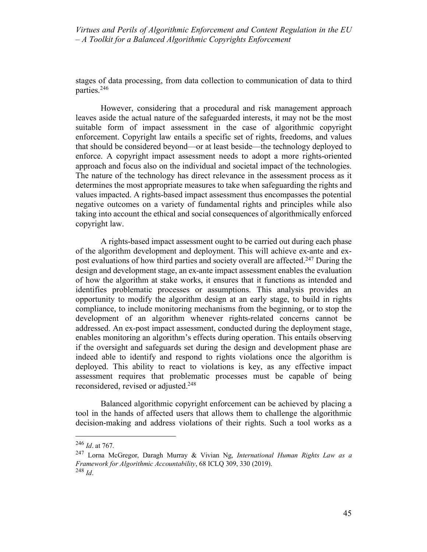stages of data processing, from data collection to communication of data to third parties.246

However, considering that a procedural and risk management approach leaves aside the actual nature of the safeguarded interests, it may not be the most suitable form of impact assessment in the case of algorithmic copyright enforcement. Copyright law entails a specific set of rights, freedoms, and values that should be considered beyond—or at least beside—the technology deployed to enforce. A copyright impact assessment needs to adopt a more rights-oriented approach and focus also on the individual and societal impact of the technologies. The nature of the technology has direct relevance in the assessment process as it determines the most appropriate measures to take when safeguarding the rights and values impacted. A rights-based impact assessment thus encompasses the potential negative outcomes on a variety of fundamental rights and principles while also taking into account the ethical and social consequences of algorithmically enforced copyright law.

A rights-based impact assessment ought to be carried out during each phase of the algorithm development and deployment. This will achieve ex-ante and expost evaluations of how third parties and society overall are affected.<sup>247</sup> During the design and development stage, an ex-ante impact assessment enables the evaluation of how the algorithm at stake works, it ensures that it functions as intended and identifies problematic processes or assumptions. This analysis provides an opportunity to modify the algorithm design at an early stage, to build in rights compliance, to include monitoring mechanisms from the beginning, or to stop the development of an algorithm whenever rights-related concerns cannot be addressed. An ex-post impact assessment, conducted during the deployment stage, enables monitoring an algorithm's effects during operation. This entails observing if the oversight and safeguards set during the design and development phase are indeed able to identify and respond to rights violations once the algorithm is deployed. This ability to react to violations is key, as any effective impact assessment requires that problematic processes must be capable of being reconsidered, revised or adjusted.248

Balanced algorithmic copyright enforcement can be achieved by placing a tool in the hands of affected users that allows them to challenge the algorithmic decision-making and address violations of their rights. Such a tool works as a

 <sup>246</sup> *Id*. at 767.

<sup>247</sup> Lorna McGregor, Daragh Murray & Vivian Ng, *International Human Rights Law as a Framework for Algorithmic Accountability*, 68 ICLQ 309, 330 (2019). <sup>248</sup> *Id*.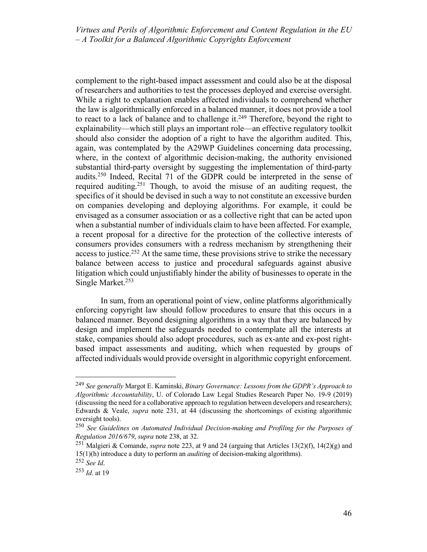complement to the right-based impact assessment and could also be at the disposal of researchers and authorities to test the processes deployed and exercise oversight. While a right to explanation enables affected individuals to comprehend whether the law is algorithmically enforced in a balanced manner, it does not provide a tool to react to a lack of balance and to challenge it.<sup>249</sup> Therefore, beyond the right to explainability—which still plays an important role—an effective regulatory toolkit should also consider the adoption of a right to have the algorithm audited. This, again, was contemplated by the A29WP Guidelines concerning data processing, where, in the context of algorithmic decision-making, the authority envisioned substantial third-party oversight by suggesting the implementation of third-party audits.250 Indeed, Recital 71 of the GDPR could be interpreted in the sense of required auditing.251 Though, to avoid the misuse of an auditing request, the specifics of it should be devised in such a way to not constitute an excessive burden on companies developing and deploying algorithms. For example, it could be envisaged as a consumer association or as a collective right that can be acted upon when a substantial number of individuals claim to have been affected. For example, a recent proposal for a directive for the protection of the collective interests of consumers provides consumers with a redress mechanism by strengthening their access to justice.<sup>252</sup> At the same time, these provisions strive to strike the necessary balance between access to justice and procedural safeguards against abusive litigation which could unjustifiably hinder the ability of businesses to operate in the Single Market.<sup>253</sup>

In sum, from an operational point of view, online platforms algorithmically enforcing copyright law should follow procedures to ensure that this occurs in a balanced manner. Beyond designing algorithms in a way that they are balanced by design and implement the safeguards needed to contemplate all the interests at stake, companies should also adopt procedures, such as ex-ante and ex-post rightbased impact assessments and auditing, which when requested by groups of affected individuals would provide oversight in algorithmic copyright enforcement.

 <sup>249</sup> *See generally* Margot E. Kaminski, *Binary Governance: Lessons from the GDPR's Approach to Algorithmic Accountability*, U. of Colorado Law Legal Studies Research Paper No. 19-9 (2019) (discussing the need for a collaborative approach to regulation between developers and researchers); Edwards & Veale, *supra* note 231, at 44 (discussing the shortcomings of existing algorithmic oversight tools).

<sup>250</sup> *See Guidelines on Automated Individual Decision-making and Profiling for the Purposes of Regulation 2016/679*, *supra* note 238, at 32.

<sup>251</sup> Malgieri & Comande, *supra* note 223, at 9 and 24 (arguing that Articles 13(2)(f), 14(2)(g) and 15(1)(h) introduce a duty to perform an *auditing* of decision-making algorithms).

<sup>252</sup> *See Id*.

<sup>253</sup> *Id.* at 19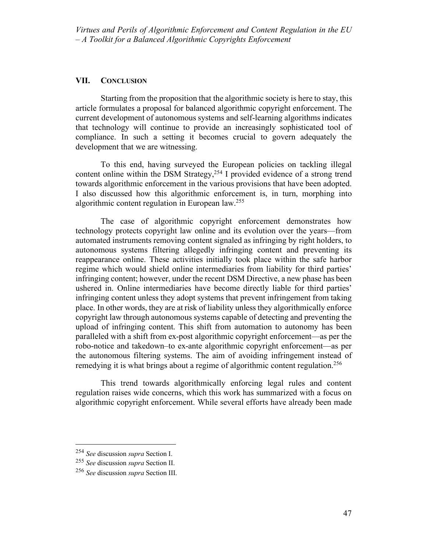## **VII. CONCLUSION**

Starting from the proposition that the algorithmic society is here to stay, this article formulates a proposal for balanced algorithmic copyright enforcement. The current development of autonomous systems and self-learning algorithms indicates that technology will continue to provide an increasingly sophisticated tool of compliance. In such a setting it becomes crucial to govern adequately the development that we are witnessing.

To this end, having surveyed the European policies on tackling illegal content online within the DSM Strategy,  $254$  I provided evidence of a strong trend towards algorithmic enforcement in the various provisions that have been adopted. I also discussed how this algorithmic enforcement is, in turn, morphing into algorithmic content regulation in European law.255

The case of algorithmic copyright enforcement demonstrates how technology protects copyright law online and its evolution over the years—from automated instruments removing content signaled as infringing by right holders, to autonomous systems filtering allegedly infringing content and preventing its reappearance online. These activities initially took place within the safe harbor regime which would shield online intermediaries from liability for third parties' infringing content; however, under the recent DSM Directive, a new phase has been ushered in. Online intermediaries have become directly liable for third parties' infringing content unless they adopt systems that prevent infringement from taking place. In other words, they are at risk of liability unless they algorithmically enforce copyright law through autonomous systems capable of detecting and preventing the upload of infringing content. This shift from automation to autonomy has been paralleled with a shift from ex-post algorithmic copyright enforcement—as per the robo-notice and takedown–to ex-ante algorithmic copyright enforcement—as per the autonomous filtering systems. The aim of avoiding infringement instead of remedying it is what brings about a regime of algorithmic content regulation.<sup>256</sup>

This trend towards algorithmically enforcing legal rules and content regulation raises wide concerns, which this work has summarized with a focus on algorithmic copyright enforcement. While several efforts have already been made

 <sup>254</sup> *See* discussion *supra* Section I.

<sup>255</sup> *See* discussion *supra* Section II.

<sup>256</sup> *See* discussion *supra* Section III.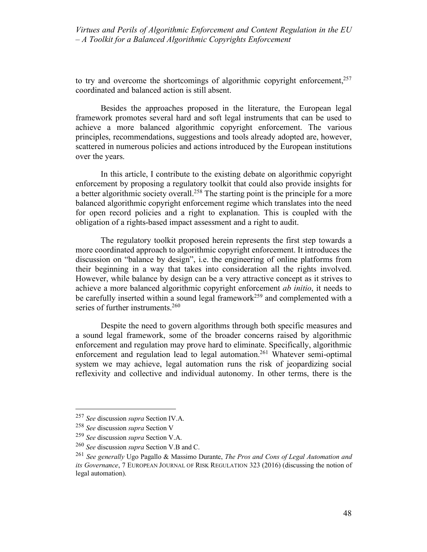to try and overcome the shortcomings of algorithmic copyright enforcement.<sup>257</sup> coordinated and balanced action is still absent.

Besides the approaches proposed in the literature, the European legal framework promotes several hard and soft legal instruments that can be used to achieve a more balanced algorithmic copyright enforcement. The various principles, recommendations, suggestions and tools already adopted are, however, scattered in numerous policies and actions introduced by the European institutions over the years.

In this article, I contribute to the existing debate on algorithmic copyright enforcement by proposing a regulatory toolkit that could also provide insights for a better algorithmic society overall.<sup>258</sup> The starting point is the principle for a more balanced algorithmic copyright enforcement regime which translates into the need for open record policies and a right to explanation. This is coupled with the obligation of a rights-based impact assessment and a right to audit.

The regulatory toolkit proposed herein represents the first step towards a more coordinated approach to algorithmic copyright enforcement. It introduces the discussion on "balance by design", i.e. the engineering of online platforms from their beginning in a way that takes into consideration all the rights involved. However, while balance by design can be a very attractive concept as it strives to achieve a more balanced algorithmic copyright enforcement *ab initio*, it needs to be carefully inserted within a sound legal framework<sup>259</sup> and complemented with a series of further instruments.<sup>260</sup>

Despite the need to govern algorithms through both specific measures and a sound legal framework, some of the broader concerns raised by algorithmic enforcement and regulation may prove hard to eliminate. Specifically, algorithmic enforcement and regulation lead to legal automation.<sup>261</sup> Whatever semi-optimal system we may achieve, legal automation runs the risk of jeopardizing social reflexivity and collective and individual autonomy. In other terms, there is the

 <sup>257</sup> *See* discussion *supra* Section IV.A.

<sup>258</sup> *See* discussion *supra* Section V

<sup>259</sup> *See* discussion *supra* Section V.A.

<sup>260</sup> *See* discussion *supra* Section V.B and C.

<sup>261</sup> *See generally* Ugo Pagallo & Massimo Durante, *The Pros and Cons of Legal Automation and its Governance*, 7 EUROPEAN JOURNAL OF RISK REGULATION 323 (2016) (discussing the notion of legal automation).